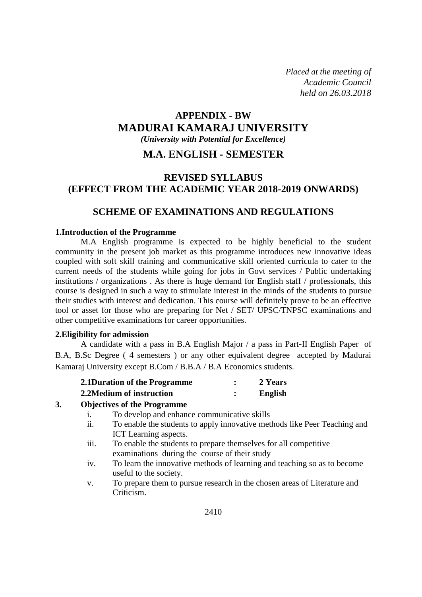*Placed at the meeting of Academic Council held on 26.03.2018*

# **APPENDIX - BW MADURAI KAMARAJ UNIVERSITY** *(University with Potential for Excellence)*

# **M.A. ENGLISH - SEMESTER**

# **REVISED SYLLABUS (EFFECT FROM THE ACADEMIC YEAR 2018-2019 ONWARDS)**

# **SCHEME OF EXAMINATIONS AND REGULATIONS**

### **1.Introduction of the Programme**

M.A English programme is expected to be highly beneficial to the student community in the present job market as this programme introduces new innovative ideas coupled with soft skill training and communicative skill oriented curricula to cater to the current needs of the students while going for jobs in Govt services / Public undertaking institutions / organizations . As there is huge demand for English staff / professionals, this course is designed in such a way to stimulate interest in the minds of the students to pursue their studies with interest and dedication. This course will definitely prove to be an effective tool or asset for those who are preparing for Net / SET/ UPSC/TNPSC examinations and other competitive examinations for career opportunities.

#### **2.Eligibility for admission**

A candidate with a pass in B.A English Major / a pass in Part-II English Paper of B.A, B.Sc Degree ( 4 semesters ) or any other equivalent degree accepted by Madurai Kamaraj University except B.Com / B.B.A / B.A Economics students.

| 2.1 Duration of the Programme | 2 Years |
|-------------------------------|---------|
| 2.2Medium of instruction      | English |

#### **3. Objectives of the Programme**

- i. To develop and enhance communicative skills
- ii. To enable the students to apply innovative methods like Peer Teaching and ICT Learning aspects.
- iii. To enable the students to prepare themselves for all competitive examinations during the course of their study
- iv. To learn the innovative methods of learning and teaching so as to become useful to the society.
- v. To prepare them to pursue research in the chosen areas of Literature and Criticism.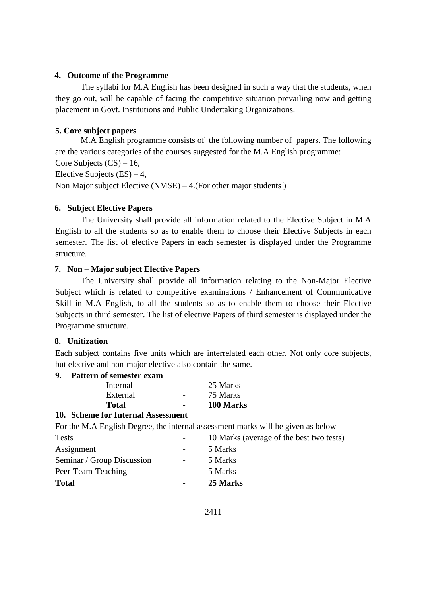### **4. Outcome of the Programme**

The syllabi for M.A English has been designed in such a way that the students, when they go out, will be capable of facing the competitive situation prevailing now and getting placement in Govt. Institutions and Public Undertaking Organizations.

# **5. Core subject papers**

M.A English programme consists of the following number of papers. The following are the various categories of the courses suggested for the M.A English programme: Core Subjects  $(CS) - 16$ ,

Elective Subjects  $(ES) - 4$ , Non Major subject Elective (NMSE) – 4.(For other major students )

# **6. Subject Elective Papers**

The University shall provide all information related to the Elective Subject in M.A English to all the students so as to enable them to choose their Elective Subjects in each semester. The list of elective Papers in each semester is displayed under the Programme structure.

# **7. Non – Major subject Elective Papers**

The University shall provide all information relating to the Non-Major Elective Subject which is related to competitive examinations / Enhancement of Communicative Skill in M.A English, to all the students so as to enable them to choose their Elective Subjects in third semester. The list of elective Papers of third semester is displayed under the Programme structure.

# **8. Unitization**

Each subject contains five units which are interrelated each other. Not only core subjects, but elective and non-major elective also contain the same.

# **9. Pattern of semester exam**

| $\sim$       |   |           |
|--------------|---|-----------|
| <b>Total</b> |   | 100 Marks |
| External     |   | 75 Marks  |
| Internal     | - | 25 Marks  |

# **10. Scheme for Internal Assessment**

For the M.A English Degree, the internal assessment marks will be given as below

| <b>Tests</b>               | $\sim$ $\sim$            | 10 Marks (average of the best two tests) |
|----------------------------|--------------------------|------------------------------------------|
| Assignment                 | -                        | 5 Marks                                  |
| Seminar / Group Discussion | $\overline{\phantom{0}}$ | 5 Marks                                  |
| Peer-Team-Teaching         | -                        | 5 Marks                                  |
| <b>Total</b>               | Ξ.                       | 25 Marks                                 |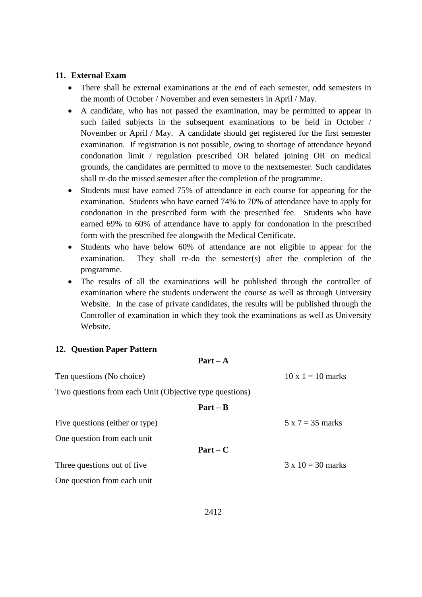### **11. External Exam**

- There shall be external examinations at the end of each semester, odd semesters in the month of October / November and even semesters in April / May.
- A candidate, who has not passed the examination, may be permitted to appear in such failed subjects in the subsequent examinations to be held in October / November or April / May. A candidate should get registered for the first semester examination. If registration is not possible, owing to shortage of attendance beyond condonation limit / regulation prescribed OR belated joining OR on medical grounds, the candidates are permitted to move to the nextsemester. Such candidates shall re-do the missed semester after the completion of the programme.
- Students must have earned 75% of attendance in each course for appearing for the examination. Students who have earned 74% to 70% of attendance have to apply for condonation in the prescribed form with the prescribed fee. Students who have earned 69% to 60% of attendance have to apply for condonation in the prescribed form with the prescribed fee alongwith the Medical Certificate.
- Students who have below 60% of attendance are not eligible to appear for the examination. They shall re-do the semester(s) after the completion of the programme.
- The results of all the examinations will be published through the controller of examination where the students underwent the course as well as through University Website. In the case of private candidates, the results will be published through the Controller of examination in which they took the examinations as well as University Website.

**Part – A**

### **12. Question Paper Pattern**

| Ten questions (No choice)                               | $10 \times 1 = 10$ marks |
|---------------------------------------------------------|--------------------------|
| Two questions from each Unit (Objective type questions) |                          |
| $Part - B$                                              |                          |
| Five questions (either or type)                         | $5 \times 7 = 35$ marks  |
| One question from each unit                             |                          |
| $Part - C$                                              |                          |
| Three questions out of five.                            | $3 \times 10 = 30$ marks |
| One question from each unit                             |                          |
|                                                         |                          |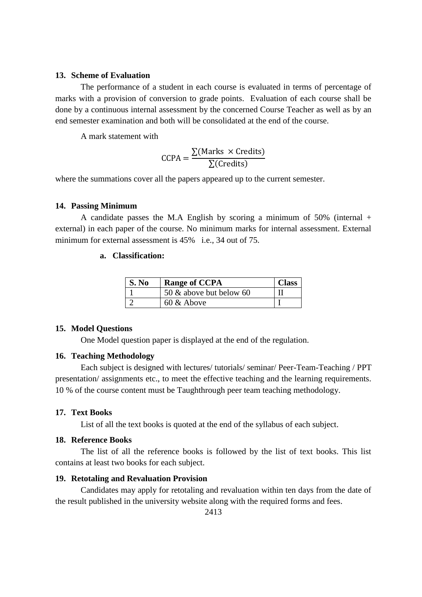#### **13. Scheme of Evaluation**

The performance of a student in each course is evaluated in terms of percentage of marks with a provision of conversion to grade points. Evaluation of each course shall be done by a continuous internal assessment by the concerned Course Teacher as well as by an end semester examination and both will be consolidated at the end of the course.

A mark statement with

$$
CCPA = \frac{\sum (Marks \times Credits)}{\sum (Credits)}
$$

where the summations cover all the papers appeared up to the current semester.

### **14. Passing Minimum**

A candidate passes the M.A English by scoring a minimum of 50% (internal + external) in each paper of the course. No minimum marks for internal assessment. External minimum for external assessment is 45% i.e., 34 out of 75.

# **a. Classification:**

| S. No | <b>Range of CCPA</b>    | Class |
|-------|-------------------------|-------|
|       | 50 & above but below 60 |       |
|       | $60 \&$ Above           |       |

#### **15. Model Questions**

One Model question paper is displayed at the end of the regulation.

#### **16. Teaching Methodology**

Each subject is designed with lectures/ tutorials/ seminar/ Peer-Team-Teaching / PPT presentation/ assignments etc., to meet the effective teaching and the learning requirements. 10 % of the course content must be Taughthrough peer team teaching methodology.

#### **17. Text Books**

List of all the text books is quoted at the end of the syllabus of each subject.

#### **18. Reference Books**

The list of all the reference books is followed by the list of text books. This list contains at least two books for each subject.

### **19. Retotaling and Revaluation Provision**

Candidates may apply for retotaling and revaluation within ten days from the date of the result published in the university website along with the required forms and fees.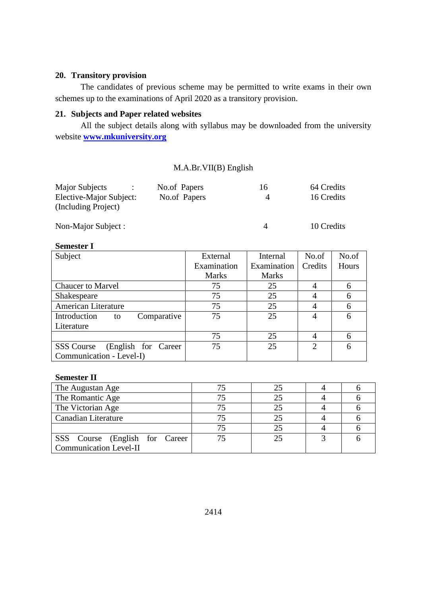### **20. Transitory provision**

The candidates of previous scheme may be permitted to write exams in their own schemes up to the examinations of April 2020 as a transitory provision.

### **21. Subjects and Paper related websites**

All the subject details along with syllabus may be downloaded from the university website **[www.mkuniversity.org](http://www.mkuniversity.org/)**

### M.A.Br.VII(B) English

| Major Subjects<br>Elective-Major Subject:<br>(Including Project) | No.of Papers<br>No.of Papers | 16<br>Δ   | 64 Credits<br>16 Credits |
|------------------------------------------------------------------|------------------------------|-----------|--------------------------|
| Non-Major Subject :                                              |                              | $\Lambda$ | 10 Credits               |

**Semester I**

| Subject                                   | External     | Internal     | No.of          | No.of |
|-------------------------------------------|--------------|--------------|----------------|-------|
|                                           | Examination  | Examination  | Credits        | Hours |
|                                           | <b>Marks</b> | <b>Marks</b> |                |       |
| <b>Chaucer to Marvel</b>                  | 75           | 25           | 4              | 6     |
| Shakespeare                               | 75           | 25           |                | 6     |
| American Literature                       | 75           | 25           |                | 6     |
| Comparative<br>Introduction<br>to         | 75           | 25           | 4              | 6     |
| Literature                                |              |              |                |       |
|                                           | 75           | 25           |                | 6     |
| (English for Career)<br><b>SSS Course</b> | 75           | 25           | $\overline{2}$ | 6     |
| Communication - Level-I)                  |              |              |                |       |

## **Semester II**

| The Augustan Age               |    |  |
|--------------------------------|----|--|
| The Romantic Age               | 25 |  |
| The Victorian Age              | 25 |  |
| Canadian Literature            | 25 |  |
|                                | 25 |  |
| SSS Course (English for Career | 25 |  |
| Communication Level-II         |    |  |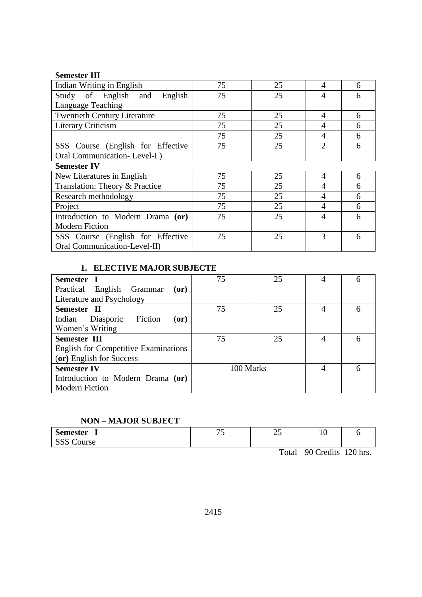# **Semester III**

| Indian Writing in English           | 75 | 25 | 4              | 6 |
|-------------------------------------|----|----|----------------|---|
| Study of English and<br>English     | 75 | 25 | $\overline{4}$ | 6 |
| Language Teaching                   |    |    |                |   |
| <b>Twentieth Century Literature</b> | 75 | 25 | 4              | 6 |
| <b>Literary Criticism</b>           | 75 | 25 | 4              | 6 |
|                                     | 75 | 25 | 4              | 6 |
| SSS Course (English for Effective   | 75 | 25 | $\overline{2}$ | 6 |
| Oral Communication-Level-I)         |    |    |                |   |
| <b>Semester IV</b>                  |    |    |                |   |
| New Literatures in English          | 75 | 25 | 4              | 6 |
| Translation: Theory & Practice      | 75 | 25 | 4              | 6 |
| Research methodology                | 75 | 25 | 4              | 6 |
| Project                             | 75 | 25 | 4              | 6 |
| Introduction to Modern Drama (or)   | 75 | 25 | $\overline{4}$ | 6 |
| <b>Modern Fiction</b>               |    |    |                |   |
| SSS Course (English for Effective   | 75 | 25 | 3              | 6 |
| Oral Communication-Level-II)        |    |    |                |   |

# **1. ELECTIVE MAJOR SUBJECTE**

| Semester I                                  | 75        | 25 | 4 | h |
|---------------------------------------------|-----------|----|---|---|
| Practical English Grammar<br>(or)           |           |    |   |   |
| Literature and Psychology                   |           |    |   |   |
| Semester II                                 | 75        | 25 | 4 |   |
| Fiction<br>Diasporic<br>Indian<br>(or)      |           |    |   |   |
| Women's Writing                             |           |    |   |   |
| <b>Semester III</b>                         | 75        | 25 | 4 |   |
| <b>English for Competitive Examinations</b> |           |    |   |   |
| (or) English for Success                    |           |    |   |   |
| <b>Semester IV</b>                          | 100 Marks |    | 4 |   |
| Introduction to Modern Drama (or)           |           |    |   |   |
| <b>Modern Fiction</b>                       |           |    |   |   |

### **NON – MAJOR SUBJECT**

| <b>Semester</b><br>. . | --<br>$\overline{\phantom{0}}$ | ⌒⊂<br>رے | ╰<br><b>.</b>                   |               |
|------------------------|--------------------------------|----------|---------------------------------|---------------|
| 0000<br>Course<br>ນນນ  |                                |          |                                 |               |
|                        |                                | $\sim$   | $\blacksquare$<br>$\sim$ $\sim$ | $\sqrt{4001}$ |

Total 90 Credits 120 hrs.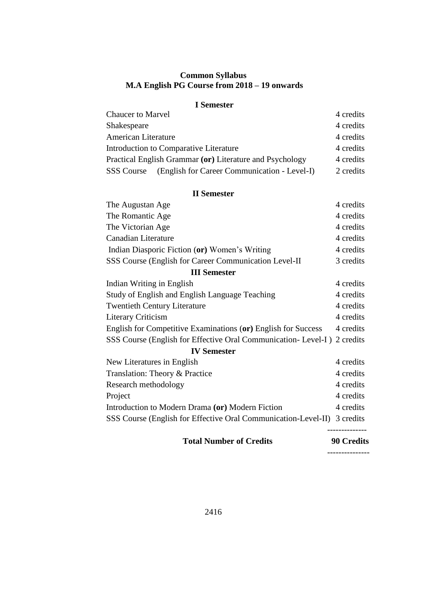# **Common Syllabus M.A English PG Course from 2018 – 19 onwards**

### **I Semester**

| <b>Chaucer</b> to Marvel                                          | 4 credits |
|-------------------------------------------------------------------|-----------|
| Shakespeare                                                       | 4 credits |
| American Literature                                               | 4 credits |
| Introduction to Comparative Literature                            | 4 credits |
| Practical English Grammar (or) Literature and Psychology          | 4 credits |
| (English for Career Communication - Level-I)<br><b>SSS</b> Course | 2 credits |

## **II Semester**

| The Augustan Age                                                         | 4 credits         |
|--------------------------------------------------------------------------|-------------------|
| The Romantic Age                                                         | 4 credits         |
| The Victorian Age                                                        | 4 credits         |
| Canadian Literature                                                      | 4 credits         |
| Indian Diasporic Fiction (or) Women's Writing                            | 4 credits         |
| SSS Course (English for Career Communication Level-II                    | 3 credits         |
| <b>III</b> Semester                                                      |                   |
| Indian Writing in English                                                | 4 credits         |
| Study of English and English Language Teaching                           | 4 credits         |
| <b>Twentieth Century Literature</b>                                      | 4 credits         |
| <b>Literary Criticism</b>                                                | 4 credits         |
| English for Competitive Examinations (or) English for Success            | 4 credits         |
| SSS Course (English for Effective Oral Communication- Level-I)           | 2 credits         |
| <b>IV Semester</b>                                                       |                   |
| New Literatures in English                                               | 4 credits         |
| Translation: Theory & Practice                                           | 4 credits         |
| Research methodology                                                     | 4 credits         |
| Project                                                                  | 4 credits         |
| Introduction to Modern Drama (or) Modern Fiction                         | 4 credits         |
| SSS Course (English for Effective Oral Communication-Level-II) 3 credits |                   |
| <b>Total Number of Credits</b>                                           | <b>90 Credits</b> |

---------------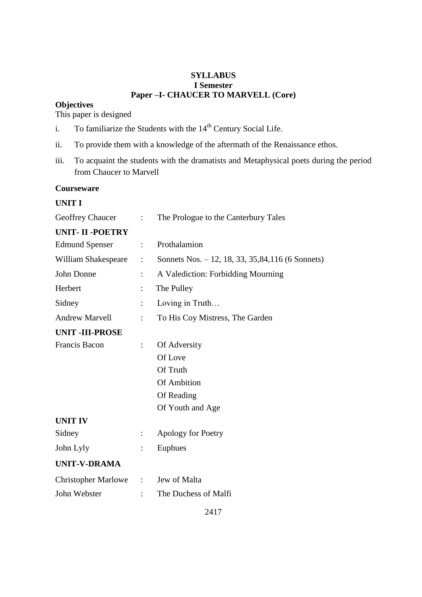## **SYLLABUS I Semester Paper –I- CHAUCER TO MARVELL (Core)**

# **Objectives**

This paper is designed

- i. To familiarize the Students with the  $14<sup>th</sup>$  Century Social Life.
- ii. To provide them with a knowledge of the aftermath of the Renaissance ethos.
- iii. To acquaint the students with the dramatists and Metaphysical poets during the period from Chaucer to Marvell

### **Courseware**

# **UNIT I**

| Geoffrey Chaucer           | ÷                    | The Prologue to the Canterbury Tales             |
|----------------------------|----------------------|--------------------------------------------------|
| <b>UNIT-II-POETRY</b>      |                      |                                                  |
| <b>Edmund Spenser</b>      | $\ddot{\phantom{a}}$ | Prothalamion                                     |
| William Shakespeare        |                      | Sonnets Nos. - 12, 18, 33, 35,84,116 (6 Sonnets) |
| John Donne                 |                      | A Valediction: Forbidding Mourning               |
| Herbert                    | $\ddot{\phantom{a}}$ | The Pulley                                       |
| Sidney                     | $\ddot{\phantom{a}}$ | Loving in Truth                                  |
| <b>Andrew Marvell</b>      |                      | To His Coy Mistress, The Garden                  |
| <b>UNIT -III-PROSE</b>     |                      |                                                  |
| Francis Bacon              |                      | Of Adversity                                     |
|                            |                      | Of Love                                          |
|                            |                      | Of Truth                                         |
|                            |                      | <b>Of Ambition</b>                               |
|                            |                      | Of Reading                                       |
|                            |                      | Of Youth and Age                                 |
| <b>UNIT IV</b>             |                      |                                                  |
| Sidney                     |                      | Apology for Poetry                               |
| John Lyly                  |                      | Euphues                                          |
| <b>UNIT-V-DRAMA</b>        |                      |                                                  |
| <b>Christopher Marlowe</b> | ÷                    | Jew of Malta                                     |
| John Webster               |                      | The Duchess of Malfi                             |
|                            |                      |                                                  |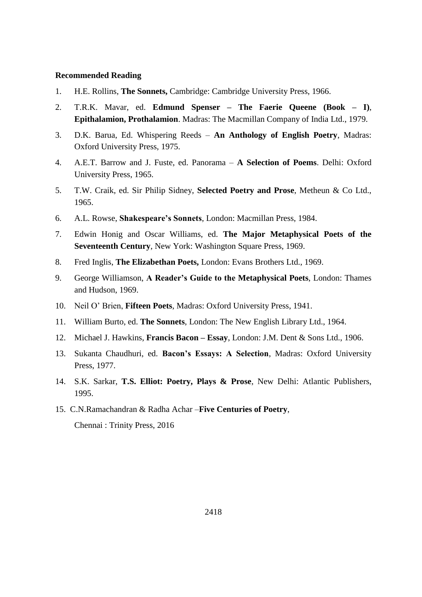#### **Recommended Reading**

- 1. H.E. Rollins, **The Sonnets,** Cambridge: Cambridge University Press, 1966.
- 2. T.R.K. Mavar, ed. **Edmund Spenser – The Faerie Queene (Book – I)**, **Epithalamion, Prothalamion**. Madras: The Macmillan Company of India Ltd., 1979.
- 3. D.K. Barua, Ed. Whispering Reeds **An Anthology of English Poetry**, Madras: Oxford University Press, 1975.
- 4. A.E.T. Barrow and J. Fuste, ed. Panorama **A Selection of Poems**. Delhi: Oxford University Press, 1965.
- 5. T.W. Craik, ed. Sir Philip Sidney, **Selected Poetry and Prose**, Metheun & Co Ltd., 1965.
- 6. A.L. Rowse, **Shakespeare's Sonnets**, London: Macmillan Press, 1984.
- 7. Edwin Honig and Oscar Williams, ed. **The Major Metaphysical Poets of the Seventeenth Century**, New York: Washington Square Press, 1969.
- 8. Fred Inglis, **The Elizabethan Poets,** London: Evans Brothers Ltd., 1969.
- 9. George Williamson, **A Reader's Guide to the Metaphysical Poets**, London: Thames and Hudson, 1969.
- 10. Neil O" Brien, **Fifteen Poets**, Madras: Oxford University Press, 1941.
- 11. William Burto, ed. **The Sonnets**, London: The New English Library Ltd., 1964.
- 12. Michael J. Hawkins, **Francis Bacon – Essay**, London: J.M. Dent & Sons Ltd., 1906.
- 13. Sukanta Chaudhuri, ed. **Bacon's Essays: A Selection**, Madras: Oxford University Press, 1977.
- 14. S.K. Sarkar, **T.S. Elliot: Poetry, Plays & Prose**, New Delhi: Atlantic Publishers, 1995.
- 15. C.N.Ramachandran & Radha Achar –**Five Centuries of Poetry**, Chennai : Trinity Press, 2016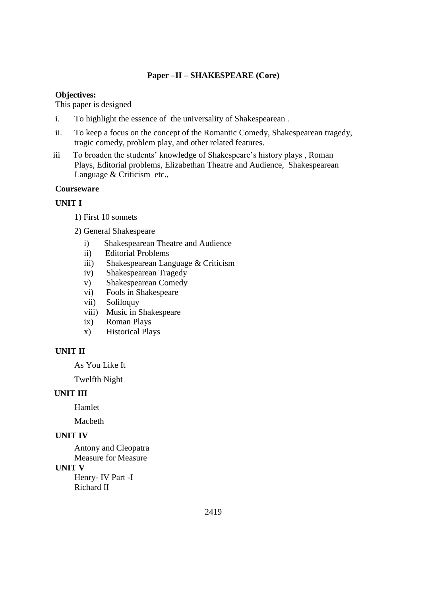### **Paper –II – SHAKESPEARE (Core)**

### **Objectives:**

This paper is designed

- i. To highlight the essence of the universality of Shakespearean .
- ii. To keep a focus on the concept of the Romantic Comedy, Shakespearean tragedy, tragic comedy, problem play, and other related features.
- iii To broaden the students' knowledge of Shakespeare's history plays, Roman Plays, Editorial problems, Elizabethan Theatre and Audience, Shakespearean Language & Criticism etc.,

### **Courseware**

### **UNIT I**

- 1) First 10 sonnets
- 2) General Shakespeare
	- i) Shakespearean Theatre and Audience
	- ii) Editorial Problems
	- iii) Shakespearean Language & Criticism
	- iv) Shakespearean Tragedy
	- v) Shakespearean Comedy
	- vi) Fools in Shakespeare
	- vii) Soliloquy
	- viii) Music in Shakespeare
	- ix) Roman Plays
	- x) Historical Plays

### **UNIT II**

As You Like It

Twelfth Night

### **UNIT III**

Hamlet

Macbeth

### **UNIT IV**

Antony and Cleopatra

Measure for Measure

## **UNIT V**

Henry- IV Part -I Richard II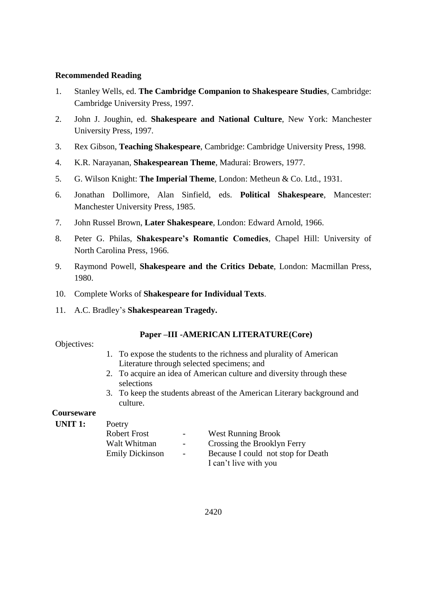### **Recommended Reading**

- 1. Stanley Wells, ed. **The Cambridge Companion to Shakespeare Studies**, Cambridge: Cambridge University Press, 1997.
- 2. John J. Joughin, ed. **Shakespeare and National Culture**, New York: Manchester University Press, 1997.
- 3. Rex Gibson, **Teaching Shakespeare**, Cambridge: Cambridge University Press, 1998.
- 4. K.R. Narayanan, **Shakespearean Theme**, Madurai: Browers, 1977.
- 5. G. Wilson Knight: **The Imperial Theme**, London: Metheun & Co. Ltd., 1931.
- 6. Jonathan Dollimore, Alan Sinfield, eds. **Political Shakespeare**, Mancester: Manchester University Press, 1985.
- 7. John Russel Brown, **Later Shakespeare**, London: Edward Arnold, 1966.
- 8. Peter G. Philas, **Shakespeare's Romantic Comedies**, Chapel Hill: University of North Carolina Press, 1966.
- 9. Raymond Powell, **Shakespeare and the Critics Debate**, London: Macmillan Press, 1980.
- 10. Complete Works of **Shakespeare for Individual Texts**.
- 11. A.C. Bradley"s **Shakespearean Tragedy.**

### **Paper –III -AMERICAN LITERATURE(Core)**

Objectives:

- 1. To expose the students to the richness and plurality of American Literature through selected specimens; and
- 2. To acquire an idea of American culture and diversity through these selections
- 3. To keep the students abreast of the American Literary background and culture.

## **Courseware**

| UNIT 1: | Poetry                 |                  |                                    |
|---------|------------------------|------------------|------------------------------------|
|         | Robert Frost           | $\sim$ 100 $\mu$ | <b>West Running Brook</b>          |
|         | Walt Whitman           | $\sim$ $-$       | Crossing the Brooklyn Ferry        |
|         | <b>Emily Dickinson</b> | $\sim$           | Because I could not stop for Death |
|         |                        |                  | I can't live with you              |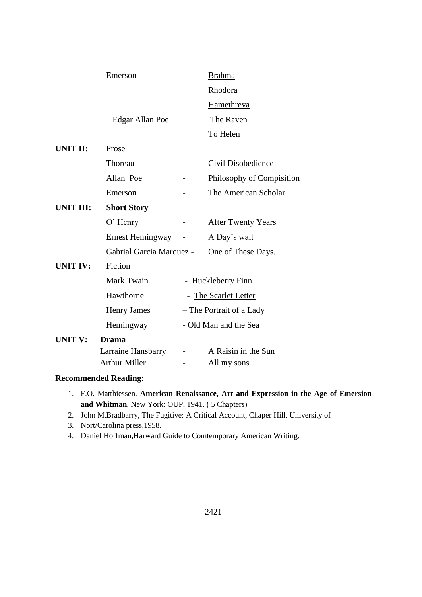|                  | Emerson                                                    |             | <b>Brahma</b>                      |
|------------------|------------------------------------------------------------|-------------|------------------------------------|
|                  |                                                            |             | Rhodora                            |
|                  |                                                            |             | Hamethreya                         |
|                  | Edgar Allan Poe                                            |             | The Raven                          |
|                  |                                                            |             | To Helen                           |
| UNIT II:         | Prose                                                      |             |                                    |
|                  | Thoreau                                                    |             | Civil Disobedience                 |
|                  | Allan Poe                                                  |             | Philosophy of Compisition          |
|                  | Emerson                                                    |             | The American Scholar               |
| <b>UNIT III:</b> | <b>Short Story</b>                                         |             |                                    |
|                  | $O'$ Henry                                                 |             | <b>After Twenty Years</b>          |
|                  | Ernest Hemingway                                           | $\sim$ $ -$ | A Day's wait                       |
|                  | Gabrial Garcia Marquez -                                   |             | One of These Days.                 |
| <b>UNIT IV:</b>  | Fiction                                                    |             |                                    |
|                  | Mark Twain                                                 |             | - Huckleberry Finn                 |
|                  | Hawthorne                                                  |             | - The Scarlet Letter               |
|                  | <b>Henry James</b>                                         |             | - The Portrait of a Lady           |
|                  | Hemingway                                                  |             | - Old Man and the Sea              |
| <b>UNIT V:</b>   | <b>Drama</b><br>Larraine Hansbarry<br><b>Arthur Miller</b> |             | A Raisin in the Sun<br>All my sons |

### **Recommended Reading:**

- 1. F.O. Matthiessen. **American Renaissance, Art and Expression in the Age of Emersion and Whitman**, New York: OUP, 1941. ( 5 Chapters)
- 2. John M.Bradbarry, The Fugitive: A Critical Account, Chaper Hill, University of
- 3. Nort/Carolina press,1958.
- 4. Daniel Hoffman,Harward Guide to Comtemporary American Writing.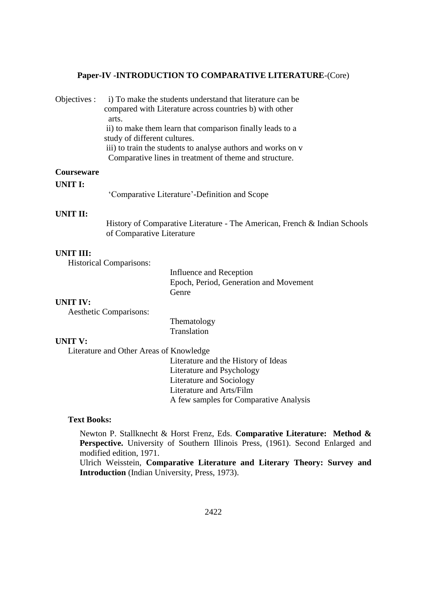#### **Paper-IV -INTRODUCTION TO COMPARATIVE LITERATURE**-(Core)

Objectives : i) To make the students understand that literature can be compared with Literature across countries b) with other arts. ii) to make them learn that comparison finally leads to a study of different cultures. iii) to train the students to analyse authors and works on v Comparative lines in treatment of theme and structure.

#### **Courseware**

### **UNIT I:**

"Comparative Literature"-Definition and Scope

### **UNIT II:**

History of Comparative Literature - The American, French & Indian Schools of Comparative Literature

### **UNIT III:**

Historical Comparisons:

Influence and Reception Epoch, Period, Generation and Movement Genre

### **UNIT IV:**

Aesthetic Comparisons:

Thematology Translation

### **UNIT V:**

Literature and Other Areas of Knowledge

Literature and the History of Ideas Literature and Psychology Literature and Sociology Literature and Arts/Film A few samples for Comparative Analysis

### **Text Books:**

Newton P. Stallknecht & Horst Frenz, Eds. **Comparative Literature: Method &**  Perspective. University of Southern Illinois Press, (1961). Second Enlarged and modified edition, 1971.

Ulrich Weisstein, **Comparative Literature and Literary Theory: Survey and Introduction** (Indian University, Press, 1973).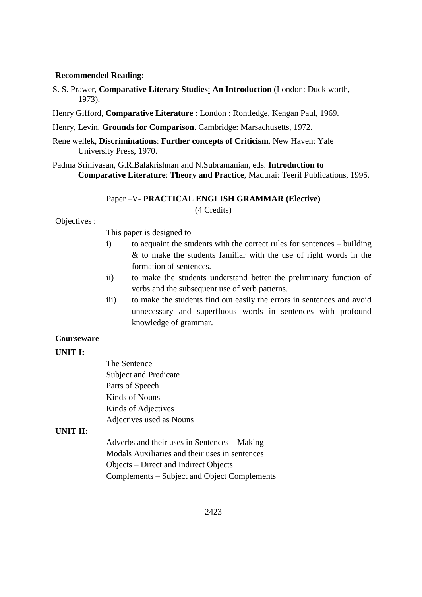#### **Recommended Reading:**

S. S. Prawer, **Comparative Literary Studies**: **An Introduction** (London: Duck worth, 1973).

Henry Gifford, **Comparative Literature** : London : Rontledge, Kengan Paul, 1969.

Henry, Levin. **Grounds for Comparison**. Cambridge: Marsachusetts, 1972.

Rene wellek, **Discriminations**: **Further concepts of Criticism**. New Haven: Yale University Press, 1970.

Padma Srinivasan, G.R.Balakrishnan and N.Subramanian, eds. **Introduction to Comparative Literature**: **Theory and Practice**, Madurai: Teeril Publications, 1995.

Paper –V- **PRACTICAL ENGLISH GRAMMAR (Elective)**

(4 Credits)

#### Objectives :

This paper is designed to

- i) to acquaint the students with the correct rules for sentences building & to make the students familiar with the use of right words in the formation of sentences.
- ii) to make the students understand better the preliminary function of verbs and the subsequent use of verb patterns.
- iii) to make the students find out easily the errors in sentences and avoid unnecessary and superfluous words in sentences with profound knowledge of grammar.

### **Courseware**

#### **UNIT I:**

The Sentence Subject and Predicate Parts of Speech Kinds of Nouns Kinds of Adjectives Adjectives used as Nouns

### **UNIT II:**

Adverbs and their uses in Sentences – Making Modals Auxiliaries and their uses in sentences Objects – Direct and Indirect Objects Complements – Subject and Object Complements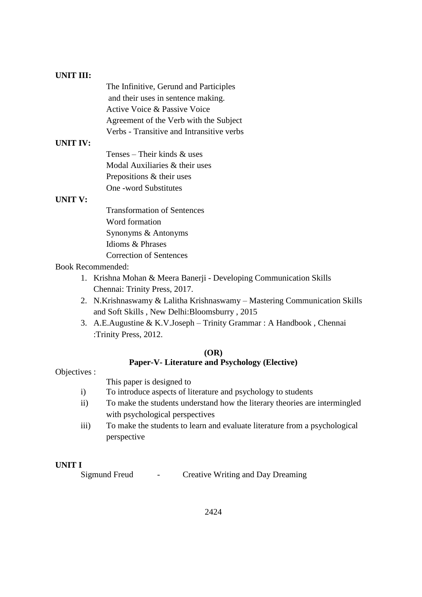### **UNIT III:**

| The Infinitive, Gerund and Participles    |
|-------------------------------------------|
| and their uses in sentence making.        |
| Active Voice & Passive Voice              |
| Agreement of the Verb with the Subject    |
| Verbs - Transitive and Intransitive verbs |

### **UNIT IV:**

Tenses – Their kinds  $\&$  uses Modal Auxiliaries & their uses Prepositions & their uses One -word Substitutes

### **UNIT V:**

Transformation of Sentences Word formation Synonyms & Antonyms Idioms & Phrases Correction of Sentences

# Book Recommended:

- 1. Krishna Mohan & Meera Banerji Developing Communication Skills Chennai: Trinity Press, 2017.
- 2. N.Krishnaswamy & Lalitha Krishnaswamy Mastering Communication Skills and Soft Skills , New Delhi:Bloomsburry , 2015
- 3. A.E.Augustine & K.V.Joseph Trinity Grammar : A Handbook , Chennai :Trinity Press, 2012.

### **(OR) Paper-V- Literature and Psychology (Elective)**

Objectives :

This paper is designed to

- i) To introduce aspects of literature and psychology to students
- ii) To make the students understand how the literary theories are intermingled with psychological perspectives
- iii) To make the students to learn and evaluate literature from a psychological perspective

### **UNIT I**

Sigmund Freud - Creative Writing and Day Dreaming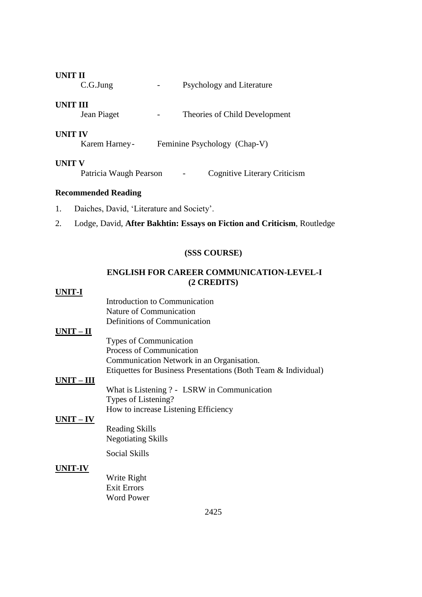| UNIT II                                                  | C.G.Jung               |  |  | Psychology and Literature           |
|----------------------------------------------------------|------------------------|--|--|-------------------------------------|
| UNIT III                                                 | Jean Piaget            |  |  | Theories of Child Development       |
| UNIT IV<br>Feminine Psychology (Chap-V)<br>Karem Harney- |                        |  |  |                                     |
| UNIT V                                                   | Patricia Waugh Pearson |  |  | <b>Cognitive Literary Criticism</b> |

# **Recommended Reading**

1. Daiches, David, "Literature and Society".

Word Power

2. Lodge, David, **After Bakhtin: Essays on Fiction and Criticism**, Routledge

# **(SSS COURSE)**

# **ENGLISH FOR CAREER COMMUNICATION-LEVEL-I (2 CREDITS)**

# **UNIT-I**

| Introduction to Communication                                  |
|----------------------------------------------------------------|
| Nature of Communication                                        |
| Definitions of Communication                                   |
|                                                                |
| <b>Types of Communication</b>                                  |
| <b>Process of Communication</b>                                |
| Communication Network in an Organisation.                      |
| Etiquettes for Business Presentations (Both Team & Individual) |
|                                                                |
| What is Listening ? - LSRW in Communication                    |
| Types of Listening?                                            |
| How to increase Listening Efficiency                           |
|                                                                |
| <b>Reading Skills</b>                                          |
| <b>Negotiating Skills</b>                                      |
|                                                                |
| Social Skills                                                  |
|                                                                |
| Write Right                                                    |
| <b>Exit Errors</b>                                             |
|                                                                |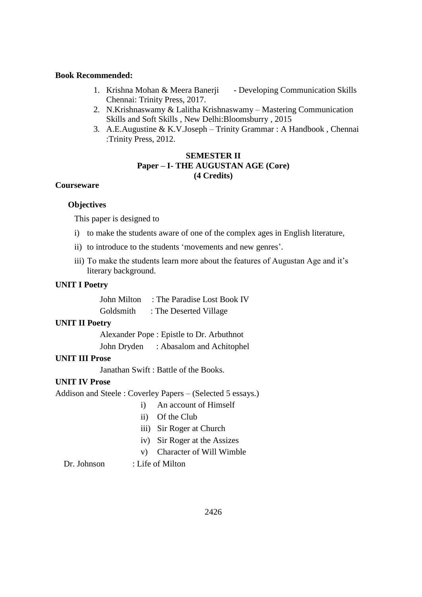#### **Book Recommended:**

- 1. Krishna Mohan & Meera Banerji Developing Communication Skills Chennai: Trinity Press, 2017.
- 2. N.Krishnaswamy & Lalitha Krishnaswamy Mastering Communication Skills and Soft Skills , New Delhi:Bloomsburry , 2015
- 3. A.E.Augustine & K.V.Joseph Trinity Grammar : A Handbook , Chennai :Trinity Press, 2012.

### **SEMESTER II Paper – I- THE AUGUSTAN AGE (Core) (4 Credits)**

### **Courseware**

### **Objectives**

This paper is designed to

- i) to make the students aware of one of the complex ages in English literature,
- ii) to introduce to the students 'movements and new genres'.
- iii) To make the students learn more about the features of Augustan Age and it's literary background.

### **UNIT I Poetry**

John Milton : The Paradise Lost Book IV Goldsmith : The Deserted Village

### **UNIT II Poetry**

Alexander Pope : Epistle to Dr. Arbuthnot

John Dryden : Abasalom and Achitophel

### **UNIT III Prose**

Janathan Swift : Battle of the Books.

### **UNIT IV Prose**

Addison and Steele : Coverley Papers – (Selected 5 essays.)

- i) An account of Himself
- ii) Of the Club
- iii) Sir Roger at Church
- iv) Sir Roger at the Assizes
- v) Character of Will Wimble

Dr. Johnson : Life of Milton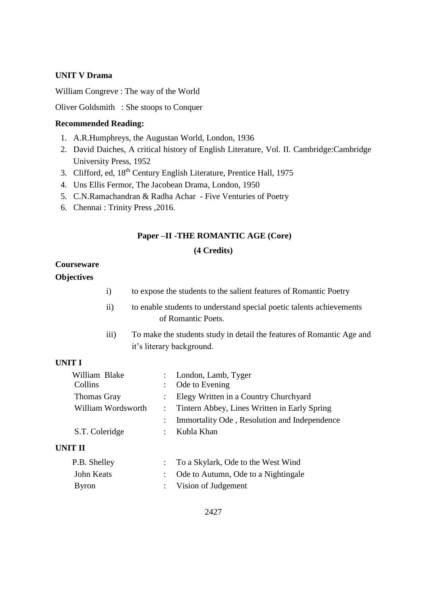# **UNIT V Drama**

William Congreve : The way of the World

Oliver Goldsmith : She stoops to Conquer

### **Recommended Reading:**

- 1. A.R.Humphreys, the Augustan World, London, 1936
- 2. David Daiches, A critical history of English Literature, Vol. II. Cambridge:Cambridge University Press, 1952
- 3. Clifford, ed, 18<sup>th</sup> Century English Literature, Prentice Hall, 1975
- 4. Uns Ellis Fermor, The Jacobean Drama, London, 1950
- 5. C.N.Ramachandran & Radha Achar Five Venturies of Poetry
- 6. Chennai : Trinity Press ,2016.

#### **Paper –II -THE ROMANTIC AGE (Core)**

#### **(4 Credits)**

### **Courseware**

### **Objectives**

- i) to expose the students to the salient features of Romantic Poetry
- ii) to enable students to understand special poetic talents achievements of Romantic Poets.
- iii) To make the students study in detail the features of Romantic Age and it"s literary background.

# **UNIT I**

| William Blake      | : London, Lamb, Tyger                          |
|--------------------|------------------------------------------------|
| Collins            | : Ode to Evening                               |
| <b>Thomas Gray</b> | : Elegy Written in a Country Churchyard        |
| William Wordsworth | : Tintern Abbey, Lines Written in Early Spring |
|                    | : Immortality Ode, Resolution and Independence |
| S.T. Coleridge     | : Kubla Khan                                   |
|                    |                                                |

### **UNIT II**

| P.B. Shelley | : To a Skylark, Ode to the West Wind  |
|--------------|---------------------------------------|
| John Keats   | : Ode to Autumn, Ode to a Nightingale |
| Byron        | : Vision of Judgement                 |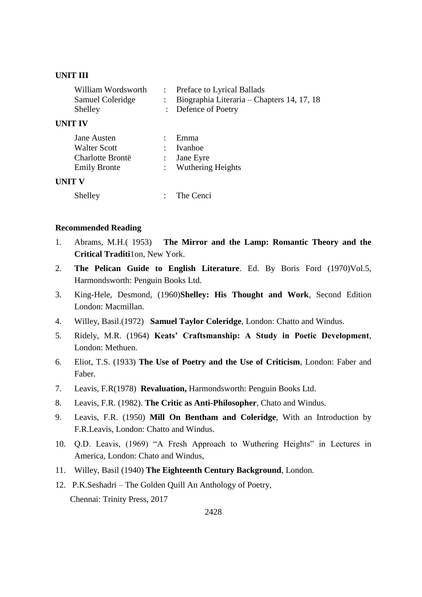### **UNIT III**

| William Wordsworth | : Preface to Lyrical Ballads                 |
|--------------------|----------------------------------------------|
| Samuel Coleridge   | : Biographia Literaria – Chapters 14, 17, 18 |
| Shelley            | : Defence of Poetry                          |
| UNIT IV            |                                              |

# $UNI$

| Jane Austen         | Emma                |
|---------------------|---------------------|
| <b>Walter Scott</b> | : Ivanhoe           |
| Charlotte Brontë    | $:$ Jane Eyre       |
| <b>Emily Bronte</b> | : Wuthering Heights |
| I INIT V            |                     |

# **UNIT V**

Shelley : The Cenci

### **Recommended Reading**

- 1. Abrams, M.H.( 1953) **The Mirror and the Lamp: Romantic Theory and the Critical Traditi**1on, New York.
- 2. **The Pelican Guide to English Literature**. Ed. By Boris Ford (1970)Vol.5, Harmondsworth: Penguin Books Ltd.
- 3. King-Hele, Desmond, (1960)**Shelley: His Thought and Work**, Second Edition London: Macmillan.
- 4. Willey, Basil.(1972) **Samuel Taylor Coleridge**, London: Chatto and Windus.
- 5. Ridely, M.R. (1964) **Keats' Craftsmanship: A Study in Poetic Development**, London: Methuen.
- 6. Eliot, T.S. (1933) **The Use of Poetry and the Use of Criticism**, London: Faber and Faber.
- 7. Leavis, F.R(1978) **Revaluation,** Harmondsworth: Penguin Books Ltd.
- 8. Leavis, F.R. (1982). **The Critic as Anti-Philosopher**, Chato and Windus.
- 9. Leavis, F.R. (1950) **Mill On Bentham and Coleridge**, With an Introduction by F.R.Leavis, London: Chatto and Windus.
- 10. Q.D. Leavis, (1969) "A Fresh Approach to Wuthering Heights" in Lectures in America, London: Chato and Windus,
- 11. Willey, Basil (1940) **The Eighteenth Century Background**, London.
- 12. P.K.Seshadri The Golden Quill An Anthology of Poetry,

Chennai: Trinity Press, 2017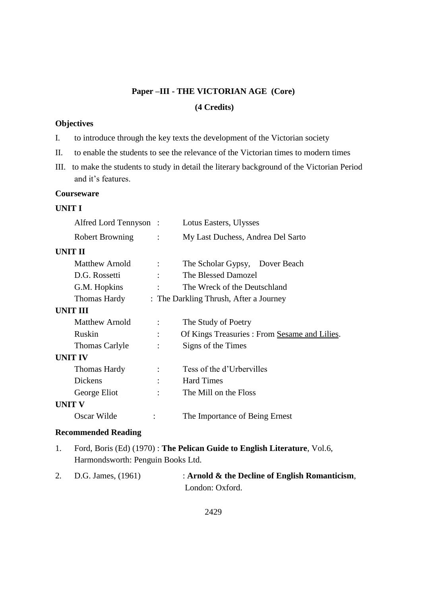# **Paper –III - THE VICTORIAN AGE (Core) (4 Credits)**

### **Objectives**

I. to introduce through the key texts the development of the Victorian society

- II. to enable the students to see the relevance of the Victorian times to modern times
- III. to make the students to study in detail the literary background of the Victorian Period and it's features.

### **Courseware**

# **UNIT I**

|        | Alfred Lord Tennyson:  |                      | Lotus Easters, Ulysses                        |
|--------|------------------------|----------------------|-----------------------------------------------|
|        | <b>Robert Browning</b> | $\sim 10^{-1}$       | My Last Duchess, Andrea Del Sarto             |
|        | UNIT II                |                      |                                               |
|        | <b>Matthew Arnold</b>  | $\ddot{\cdot}$       | The Scholar Gypsy, Dover Beach                |
|        | D.G. Rossetti          |                      | The Blessed Damozel                           |
|        | G.M. Hopkins           |                      | The Wreck of the Deutschland                  |
|        | Thomas Hardy           |                      | : The Darkling Thrush, After a Journey        |
|        | UNIT III               |                      |                                               |
|        | <b>Matthew Arnold</b>  | $\ddot{\cdot}$       | The Study of Poetry                           |
|        | Ruskin                 | $\ddot{\phantom{a}}$ | Of Kings Treasuries : From Sesame and Lilies. |
|        | Thomas Carlyle         |                      | Signs of the Times                            |
|        | UNIT IV                |                      |                                               |
|        | Thomas Hardy           | $\ddot{\cdot}$       | Tess of the d'Urbervilles                     |
|        | Dickens                | $\ddot{\cdot}$       | <b>Hard Times</b>                             |
|        | George Eliot           | $\ddot{\cdot}$       | The Mill on the Floss                         |
| UNIT V |                        |                      |                                               |
|        | Oscar Wilde            |                      | The Importance of Being Ernest                |

### **Recommended Reading**

- 1. Ford, Boris (Ed) (1970) : **The Pelican Guide to English Literature**, Vol.6, Harmondsworth: Penguin Books Ltd.
- 2. D.G. James, (1961) : **Arnold & the Decline of English Romanticism**, London: Oxford.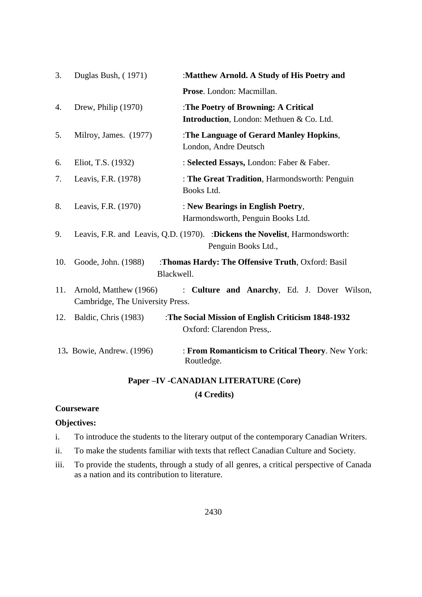| 3.  | Duglas Bush, (1971)                                        | :Matthew Arnold. A Study of His Poetry and                                                          |
|-----|------------------------------------------------------------|-----------------------------------------------------------------------------------------------------|
|     |                                                            | Prose. London: Macmillan.                                                                           |
| 4.  | Drew, Philip (1970)                                        | :The Poetry of Browning: A Critical<br>Introduction, London: Methuen & Co. Ltd.                     |
| 5.  | Milroy, James. (1977)                                      | :The Language of Gerard Manley Hopkins,<br>London, Andre Deutsch                                    |
| 6.  | Eliot, T.S. (1932)                                         | : Selected Essays, London: Faber & Faber.                                                           |
| 7.  | Leavis, F.R. (1978)                                        | : The Great Tradition, Harmondsworth: Penguin<br>Books Ltd.                                         |
| 8.  | Leavis, F.R. (1970)                                        | : New Bearings in English Poetry,<br>Harmondsworth, Penguin Books Ltd.                              |
| 9.  |                                                            | Leavis, F.R. and Leavis, Q.D. (1970). : Dickens the Novelist, Harmondsworth:<br>Penguin Books Ltd., |
| 10. | Goode, John. (1988)                                        | :Thomas Hardy: The Offensive Truth, Oxford: Basil<br>Blackwell.                                     |
| 11. | Arnold, Matthew (1966)<br>Cambridge, The University Press. | : Culture and Anarchy, Ed. J. Dover Wilson,                                                         |
| 12. | Baldic, Chris (1983)                                       | :The Social Mission of English Criticism 1848-1932<br>Oxford: Clarendon Press,.                     |
|     | 13. Bowie, Andrew. (1996)                                  | : From Romanticism to Critical Theory. New York:<br>Routledge.                                      |

# **Paper –IV -CANADIAN LITERATURE (Core)**

# **(4 Credits)**

### **Courseware**

### **Objectives:**

- i. To introduce the students to the literary output of the contemporary Canadian Writers.
- ii. To make the students familiar with texts that reflect Canadian Culture and Society.
- iii. To provide the students, through a study of all genres, a critical perspective of Canada as a nation and its contribution to literature.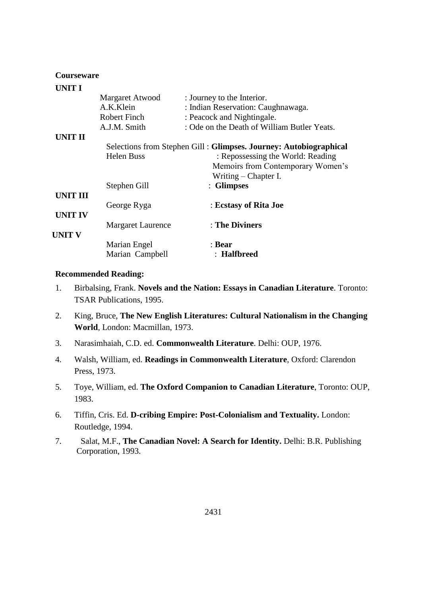#### **Courseware**

| UNIT I          |                          |                                                                    |
|-----------------|--------------------------|--------------------------------------------------------------------|
|                 | Margaret Atwood          | : Journey to the Interior.                                         |
|                 | A.K.Klein                | : Indian Reservation: Caughnawaga.                                 |
|                 | Robert Finch             | : Peacock and Nightingale.                                         |
|                 | A.J.M. Smith             | : Ode on the Death of William Butler Yeats.                        |
| <b>UNIT II</b>  |                          |                                                                    |
|                 |                          | Selections from Stephen Gill : Glimpses. Journey: Autobiographical |
|                 | <b>Helen Buss</b>        | : Repossessing the World: Reading                                  |
|                 |                          | Memoirs from Contemporary Women's                                  |
|                 |                          | Writing – Chapter I.                                               |
|                 | Stephen Gill             | : Glimpses                                                         |
| <b>UNIT III</b> |                          |                                                                    |
|                 | George Ryga              | : Ecstasy of Rita Joe                                              |
| <b>UNIT IV</b>  |                          |                                                                    |
|                 | <b>Margaret Laurence</b> | : The Diviners                                                     |
| <b>UNIT V</b>   |                          |                                                                    |
|                 | Marian Engel             | : Bear                                                             |
|                 | Marian Campbell          | : Halfbreed                                                        |

### **Recommended Reading:**

- 1. Birbalsing, Frank. **Novels and the Nation: Essays in Canadian Literature**. Toronto: TSAR Publications, 1995.
- 2. King, Bruce, **The New English Literatures: Cultural Nationalism in the Changing World**, London: Macmillan, 1973.
- 3. Narasimhaiah, C.D. ed. **Commonwealth Literature**. Delhi: OUP, 1976.
- 4. Walsh, William, ed. **Readings in Commonwealth Literature**, Oxford: Clarendon Press, 1973.
- 5. Toye, William, ed. **The Oxford Companion to Canadian Literature**, Toronto: OUP, 1983.
- 6. Tiffin, Cris. Ed. **D-cribing Empire: Post-Colonialism and Textuality.** London: Routledge, 1994.
- 7. Salat, M.F., **The Canadian Novel: A Search for Identity.** Delhi: B.R. Publishing Corporation, 1993.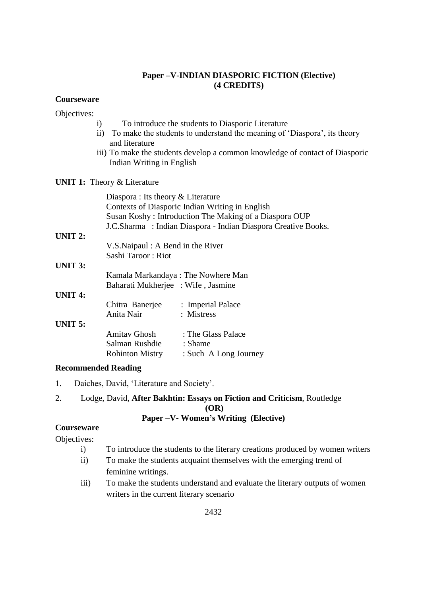## **Paper –V-INDIAN DIASPORIC FICTION (Elective) (4 CREDITS)**

### **Courseware**

Objectives:

- i) To introduce the students to Diasporic Literature
- ii) To make the students to understand the meaning of "Diaspora", its theory and literature
- iii) To make the students develop a common knowledge of contact of Diasporic Indian Writing in English

### **UNIT 1:** Theory & Literature

|                | Diaspora : Its theory $&$ Literature                          |                                    |  |  |
|----------------|---------------------------------------------------------------|------------------------------------|--|--|
|                | Contexts of Diasporic Indian Writing in English               |                                    |  |  |
|                | Susan Koshy: Introduction The Making of a Diaspora OUP        |                                    |  |  |
|                | J.C.Sharma: Indian Diaspora - Indian Diaspora Creative Books. |                                    |  |  |
| <b>UNIT 2:</b> |                                                               |                                    |  |  |
|                | V.S. Naipaul: A Bend in the River                             |                                    |  |  |
|                | Sashi Taroor: Riot                                            |                                    |  |  |
| <b>UNIT 3:</b> |                                                               |                                    |  |  |
|                | Kamala Markandaya: The Nowhere Man                            |                                    |  |  |
|                |                                                               | Baharati Mukherjee : Wife, Jasmine |  |  |
| <b>UNIT 4:</b> |                                                               |                                    |  |  |
|                |                                                               | Chitra Banerjee : Imperial Palace  |  |  |
|                | Anita Nair                                                    | : Mistress                         |  |  |
| <b>UNIT 5:</b> |                                                               |                                    |  |  |
|                | Amitav Ghosh                                                  | : The Glass Palace                 |  |  |
|                | Salman Rushdie                                                | : Shame                            |  |  |
|                | <b>Rohinton Mistry</b>                                        | : Such A Long Journey              |  |  |
|                |                                                               |                                    |  |  |

### **Recommended Reading**

- 1. Daiches, David, "Literature and Society".
- 2. Lodge, David, **After Bakhtin: Essays on Fiction and Criticism**, Routledge **(OR) Paper –V- Women's Writing (Elective)**

# **Courseware**

Objectives:

- i) To introduce the students to the literary creations produced by women writers
- ii) To make the students acquaint themselves with the emerging trend of feminine writings.
- iii) To make the students understand and evaluate the literary outputs of women writers in the current literary scenario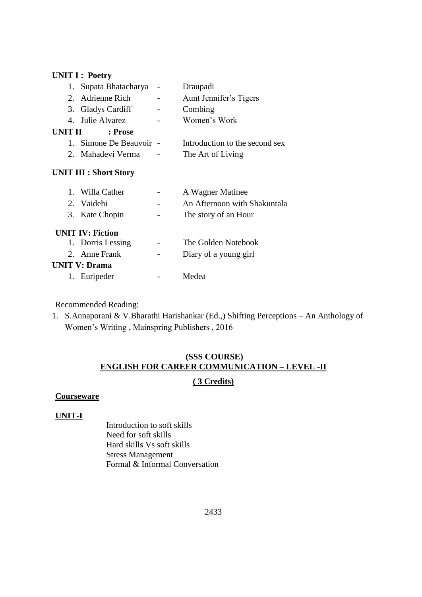### **UNIT I : Poetry**

|  | 1. Supata Bhatacharya        | Draupadi                       |
|--|------------------------------|--------------------------------|
|  | 2. Adrienne Rich             | Aunt Jennifer's Tigers         |
|  | 3. Gladys Cardiff            | Combing                        |
|  | 4. Julie Alvarez             | Women's Work                   |
|  | UNIT II<br>: Prose           |                                |
|  | 1. Simone De Beauvoir -      | Introduction to the second sex |
|  | 2. Mahadevi Verma            | The Art of Living              |
|  | <b>UNIT III: Short Story</b> |                                |
|  | 1. Willa Cather              | A Wagner Matinee               |
|  | 2. Vaidehi                   | An Afternoon with Shakuntala   |
|  | 3. Kate Chopin               | The story of an Hour           |
|  | <b>UNIT IV: Fiction</b>      |                                |
|  | 1. Dorris Lessing            | The Golden Notebook            |
|  | 2. Anne Frank                | Diary of a young girl          |
|  | <b>UNIT V: Drama</b>         |                                |
|  | 1. Euripeder                 | Medea                          |

Recommended Reading:

1. S.Annaporani & V.Bharathi Harishankar (Ed.,) Shifting Perceptions – An Anthology of Women"s Writing , Mainspring Publishers , 2016

# **(SSS COURSE) ENGLISH FOR CAREER COMMUNICATION – LEVEL -II**

# **( 3 Credits)**

### **Courseware**

### **UNIT-I**

Introduction to soft skills Need for soft skills Hard skills Vs soft skills Stress Management Formal & Informal Conversation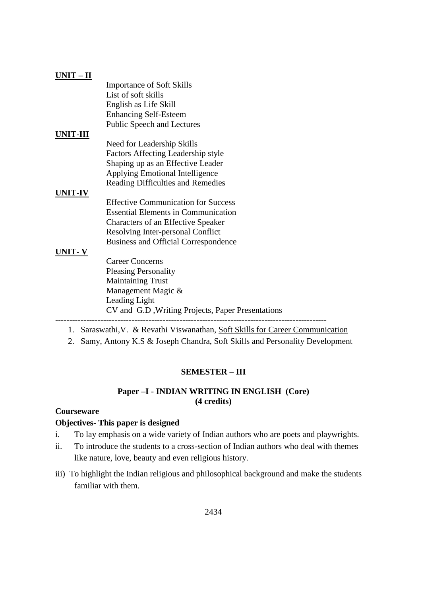### **UNIT – II**

Importance of Soft Skills List of soft skills English as Life Skill Enhancing Self-Esteem Public Speech and Lectures

### **UNIT-III**

Need for Leadership Skills Factors Affecting Leadership style Shaping up as an Effective Leader Applying Emotional Intelligence Reading Difficulties and Remedies

#### **UNIT-IV**

Effective Communication for Success Essential Elements in Communication Characters of an Effective Speaker Resolving Inter-personal Conflict Business and Official Correspondence

#### **UNIT- V**

Career Concerns Pleasing Personality Maintaining Trust Management Magic & Leading Light CV and G.D ,Writing Projects, Paper Presentations ------------------------------------------------------------------------------------------------

1. Saraswathi,V. & Revathi Viswanathan, Soft Skills for Career Communication

2. Samy, Antony K.S & Joseph Chandra, Soft Skills and Personality Development

#### **SEMESTER – III**

### **Paper –I - INDIAN WRITING IN ENGLISH (Core) (4 credits)**

#### **Courseware**

### **Objectives- This paper is designed**

- i. To lay emphasis on a wide variety of Indian authors who are poets and playwrights.
- ii. To introduce the students to a cross-section of Indian authors who deal with themes like nature, love, beauty and even religious history.
- iii) To highlight the Indian religious and philosophical background and make the students familiar with them.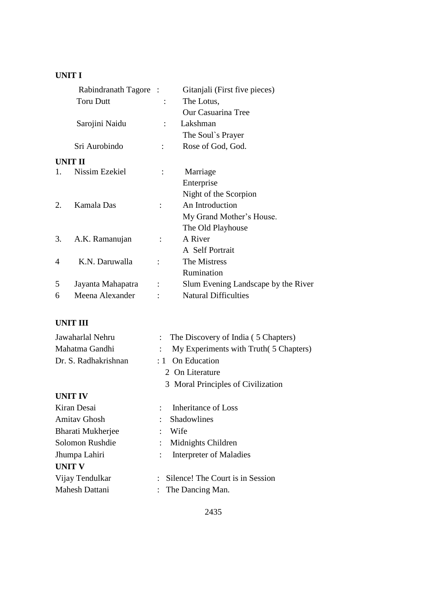# **UNIT I**

|                | Rabindranath Tagore: |                      | Gitanjali (First five pieces)       |
|----------------|----------------------|----------------------|-------------------------------------|
|                | <b>Toru Dutt</b>     |                      | The Lotus,                          |
|                |                      |                      | <b>Our Casuarina Tree</b>           |
|                | Sarojini Naidu       | $\ddot{\cdot}$       | Lakshman                            |
|                |                      |                      | The Soul's Prayer                   |
|                | Sri Aurobindo        | $\ddot{\cdot}$       | Rose of God, God.                   |
|                | <b>UNIT II</b>       |                      |                                     |
| $\mathbf{1}$ . | Nissim Ezekiel       | $\ddot{\cdot}$       | Marriage                            |
|                |                      |                      | Enterprise                          |
|                |                      |                      | Night of the Scorpion               |
| 2.             | Kamala Das           |                      | An Introduction                     |
|                |                      |                      | My Grand Mother's House.            |
|                |                      |                      | The Old Playhouse                   |
| 3.             | A.K. Ramanujan       |                      | A River                             |
|                |                      |                      | A Self Portrait                     |
| 4              | K.N. Daruwalla       | $\ddot{\phantom{0}}$ | The Mistress                        |
|                |                      |                      | Rumination                          |
| 5              | Jayanta Mahapatra    |                      | Slum Evening Landscape by the River |
| 6              | Meena Alexander      |                      | <b>Natural Difficulties</b>         |

# **UNIT III**

| Jawaharlal Nehru      | : The Discovery of India (5 Chapters)  |
|-----------------------|----------------------------------------|
| Mahatma Gandhi        | My Experiments with Truth (5 Chapters) |
| Dr. S. Radhakrishnan  | : 1 On Education                       |
|                       | 2 On Literature                        |
|                       | 3 Moral Principles of Civilization     |
| <b>UNIT IV</b>        |                                        |
| Kiran Desai           | Inheritance of Loss                    |
| <b>Amitav Ghosh</b>   | <b>Shadowlines</b>                     |
| Bharati Mukherjee     | Wife                                   |
| Solomon Rushdie       | Midnights Children                     |
| Jhumpa Lahiri         | Interpreter of Maladies                |
| <b>UNIT V</b>         |                                        |
| Vijay Tendulkar       | Silence! The Court is in Session       |
| <b>Mahesh Dattani</b> | The Dancing Man.                       |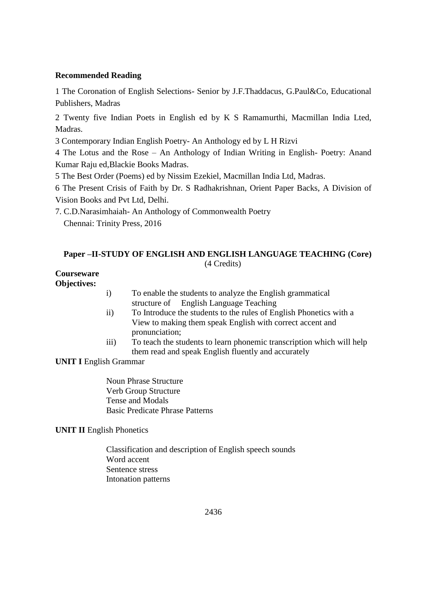## **Recommended Reading**

1 The Coronation of English Selections- Senior by J.F.Thaddacus, G.Paul&Co, Educational Publishers, Madras

2 Twenty five Indian Poets in English ed by K S Ramamurthi, Macmillan India Lted, Madras.

3 Contemporary Indian English Poetry- An Anthology ed by L H Rizvi

4 The Lotus and the Rose – An Anthology of Indian Writing in English- Poetry: Anand Kumar Raju ed,Blackie Books Madras.

5 The Best Order (Poems) ed by Nissim Ezekiel, Macmillan India Ltd, Madras.

6 The Present Crisis of Faith by Dr. S Radhakrishnan, Orient Paper Backs, A Division of Vision Books and Pvt Ltd, Delhi.

7. C.D.Narasimhaiah- An Anthology of Commonwealth Poetry Chennai: Trinity Press, 2016

## **Paper –II-STUDY OF ENGLISH AND ENGLISH LANGUAGE TEACHING (Core)** (4 Credits)

#### **Courseware Objectives:**

- i) To enable the students to analyze the English grammatical structure of English Language Teaching
- ii) To Introduce the students to the rules of English Phonetics with a View to making them speak English with correct accent and pronunciation;
- iii) To teach the students to learn phonemic transcription which will help them read and speak English fluently and accurately

# **UNIT I** English Grammar

Noun Phrase Structure Verb Group Structure Tense and Modals Basic Predicate Phrase Patterns

# **UNIT II** English Phonetics

Classification and description of English speech sounds Word accent Sentence stress Intonation patterns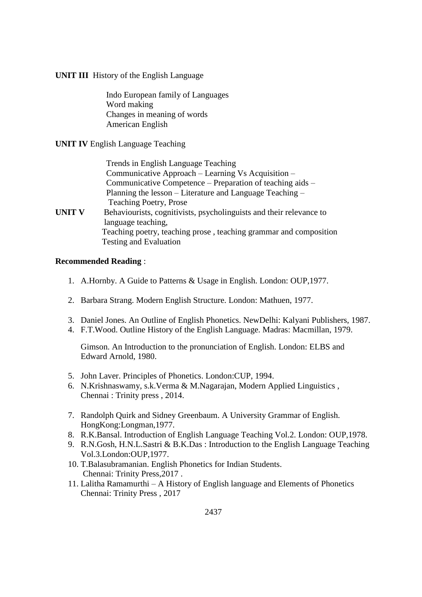**UNIT III** History of the English Language

Indo European family of Languages Word making Changes in meaning of words American English

**UNIT IV** English Language Teaching

Trends in English Language Teaching Communicative Approach – Learning Vs Acquisition – Communicative Competence – Preparation of teaching aids – Planning the lesson – Literature and Language Teaching – Teaching Poetry, Prose

**UNIT V** Behaviourists, cognitivists, psycholinguists and their relevance to language teaching, Teaching poetry, teaching prose , teaching grammar and composition Testing and Evaluation

### **Recommended Reading** :

- 1. A.Hornby. A Guide to Patterns & Usage in English. London: OUP,1977.
- 2. Barbara Strang. Modern English Structure. London: Mathuen, 1977.
- 3. Daniel Jones. An Outline of English Phonetics. NewDelhi: Kalyani Publishers, 1987.
- 4. F.T.Wood. Outline History of the English Language. Madras: Macmillan, 1979.

Gimson. An Introduction to the pronunciation of English. London: ELBS and Edward Arnold, 1980.

- 5. John Laver. Principles of Phonetics. London:CUP, 1994.
- 6. N.Krishnaswamy, s.k.Verma & M.Nagarajan, Modern Applied Linguistics , Chennai : Trinity press , 2014.
- 7. Randolph Quirk and Sidney Greenbaum. A University Grammar of English. HongKong:Longman,1977.
- 8. R.K.Bansal. Introduction of English Language Teaching Vol.2. London: OUP,1978.
- 9. R.N.Gosh, H.N.L.Sastri & B.K.Das : Introduction to the English Language Teaching Vol.3.London:OUP,1977.
- 10. T.Balasubramanian. English Phonetics for Indian Students. Chennai: Trinity Press,2017 .
- 11. Lalitha Ramamurthi A History of English language and Elements of Phonetics Chennai: Trinity Press , 2017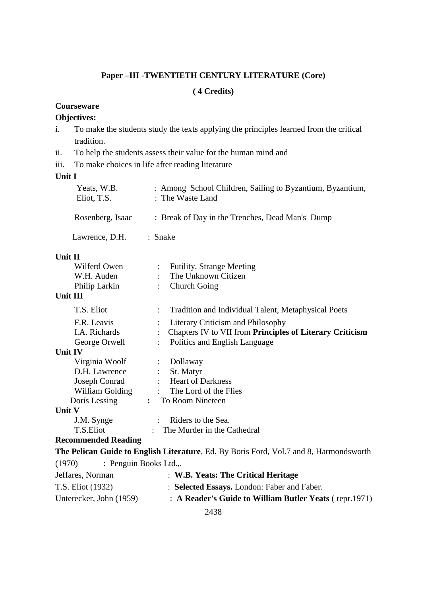# **Paper –III -TWENTIETH CENTURY LITERATURE (Core)**

# **( 4 Credits)**

# **Courseware**

# **Objectives:**

- i. To make the students study the texts applying the principles learned from the critical tradition.
- ii. To help the students assess their value for the human mind and
- iii. To make choices in life after reading literature

# **Unit I**

| Yeats, W.B.<br>Eliot, T.S.                                                             | : Among School Children, Sailing to Byzantium, Byzantium,<br>: The Waste Land |  |  |
|----------------------------------------------------------------------------------------|-------------------------------------------------------------------------------|--|--|
| Rosenberg, Isaac                                                                       | : Break of Day in the Trenches, Dead Man's Dump                               |  |  |
| Lawrence, D.H.                                                                         | : Snake                                                                       |  |  |
| Unit II                                                                                |                                                                               |  |  |
| Wilferd Owen                                                                           | <b>Futility, Strange Meeting</b>                                              |  |  |
| W.H. Auden                                                                             | : The Unknown Citizen                                                         |  |  |
| Philip Larkin<br><b>Unit III</b>                                                       | <b>Church Going</b><br>$\mathbb{R}^{\mathbb{Z}}$                              |  |  |
|                                                                                        |                                                                               |  |  |
| T.S. Eliot                                                                             | Tradition and Individual Talent, Metaphysical Poets                           |  |  |
| F.R. Leavis                                                                            | Literary Criticism and Philosophy<br>$\mathcal{L}$                            |  |  |
| I.A. Richards                                                                          | Chapters IV to VII from Principles of Literary Criticism                      |  |  |
| George Orwell                                                                          | Politics and English Language                                                 |  |  |
| Unit IV                                                                                |                                                                               |  |  |
| Virginia Woolf                                                                         | : Dollaway                                                                    |  |  |
| D.H. Lawrence                                                                          | St. Matyr                                                                     |  |  |
| Joseph Conrad                                                                          | : Heart of Darkness                                                           |  |  |
| William Golding<br>Doris Lessing                                                       | : The Lord of the Flies<br>: To Room Nineteen                                 |  |  |
| <b>Unit V</b>                                                                          |                                                                               |  |  |
| J.M. Synge                                                                             | Riders to the Sea.                                                            |  |  |
| T.S.Eliot                                                                              | The Murder in the Cathedral<br>$\mathcal{L}$                                  |  |  |
| <b>Recommended Reading</b>                                                             |                                                                               |  |  |
| The Pelican Guide to English Literature, Ed. By Boris Ford, Vol.7 and 8, Harmondsworth |                                                                               |  |  |
| : Penguin Books Ltd.,.<br>(1970)                                                       |                                                                               |  |  |
| Jeffares, Norman                                                                       | : W.B. Yeats: The Critical Heritage                                           |  |  |
| T.S. Eliot (1932)                                                                      | : Selected Essays. London: Faber and Faber.                                   |  |  |
| Unterecker, John (1959)                                                                | : A Reader's Guide to William Butler Yeats (repr.1971)                        |  |  |

2438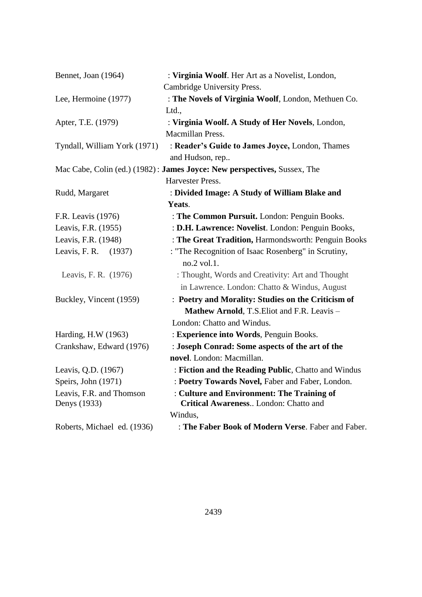| Bennet, Joan (1964)                      | : Virginia Woolf. Her Art as a Novelist, London,                                    |
|------------------------------------------|-------------------------------------------------------------------------------------|
|                                          | Cambridge University Press.                                                         |
| Lee, Hermoine (1977)                     | : The Novels of Virginia Woolf, London, Methuen Co.                                 |
|                                          | Ltd.,                                                                               |
| Apter, T.E. (1979)                       | : Virginia Woolf. A Study of Her Novels, London,                                    |
|                                          | Macmillan Press.                                                                    |
| Tyndall, William York (1971)             | : Reader's Guide to James Joyce, London, Thames                                     |
|                                          | and Hudson, rep                                                                     |
|                                          | Mac Cabe, Colin (ed.) (1982): James Joyce: New perspectives, Sussex, The            |
|                                          | Harvester Press.                                                                    |
| Rudd, Margaret                           | : Divided Image: A Study of William Blake and                                       |
|                                          | Yeats.                                                                              |
| F.R. Leavis (1976)                       | : The Common Pursuit. London: Penguin Books.                                        |
| Leavis, F.R. (1955)                      | : D.H. Lawrence: Novelist. London: Penguin Books,                                   |
| Leavis, F.R. (1948)                      | : The Great Tradition, Harmondsworth: Penguin Books                                 |
| Leavis, F. R. (1937)                     | : "The Recognition of Isaac Rosenberg" in Scrutiny,<br>no.2 vol.1.                  |
| Leavis, F. R. (1976)                     | : Thought, Words and Creativity: Art and Thought                                    |
|                                          | in Lawrence. London: Chatto & Windus, August                                        |
| Buckley, Vincent (1959)                  | : Poetry and Morality: Studies on the Criticism of                                  |
|                                          | Mathew Arnold, T.S. Eliot and F.R. Leavis -                                         |
|                                          | London: Chatto and Windus.                                                          |
| Harding, H.W (1963)                      | : Experience into Words, Penguin Books.                                             |
| Crankshaw, Edward (1976)                 | : Joseph Conrad: Some aspects of the art of the                                     |
|                                          | novel. London: Macmillan.                                                           |
| Leavis, Q.D. (1967)                      | : Fiction and the Reading Public, Chatto and Windus                                 |
| Speirs, John (1971)                      | : Poetry Towards Novel, Faber and Faber, London.                                    |
| Leavis, F.R. and Thomson<br>Denys (1933) | : Culture and Environment: The Training of<br>Critical Awareness London: Chatto and |
|                                          | Windus,                                                                             |
| Roberts, Michael ed. (1936)              | : The Faber Book of Modern Verse. Faber and Faber.                                  |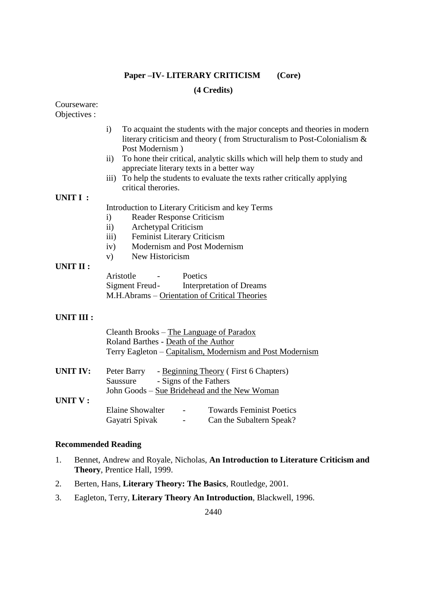# **Paper –IV- LITERARY CRITICISM (Core)**

### **(4 Credits)**

Courseware: Objectives :

- i) To acquaint the students with the major concepts and theories in modern literary criticism and theory ( from Structuralism to Post-Colonialism & Post Modernism )
- ii) To hone their critical, analytic skills which will help them to study and appreciate literary texts in a better way
- iii) To help the students to evaluate the texts rather critically applying critical therories.

## **UNIT I :**

Introduction to Literary Criticism and key Terms

- i) Reader Response Criticism
- ii) Archetypal Criticism
- iii) Feminist Literary Criticism
- iv) Modernism and Post Modernism
- v) New Historicism

### **UNIT II :**

| Aristotle      | Poetics                                       |
|----------------|-----------------------------------------------|
| Sigment Freud- | Interpretation of Dreams                      |
|                | M.H.Abrams – Orientation of Critical Theories |

### **UNIT III :**

|                                                                                                        | Cleanth Brooks – The Language of Paradox<br>Roland Barthes - Death of the Author<br>Terry Eagleton – Capitalism, Modernism and Post Modernism |                          |                                              |
|--------------------------------------------------------------------------------------------------------|-----------------------------------------------------------------------------------------------------------------------------------------------|--------------------------|----------------------------------------------|
| UNIT IV:<br>- Beginning Theory (First 6 Chapters)<br>Peter Barry<br>- Signs of the Fathers<br>Saussure |                                                                                                                                               |                          |                                              |
|                                                                                                        |                                                                                                                                               |                          | John Goods - Sue Bridehead and the New Woman |
| UNIT V :                                                                                               |                                                                                                                                               |                          |                                              |
|                                                                                                        | <b>Elaine Showalter</b>                                                                                                                       | $\overline{\phantom{0}}$ | <b>Towards Feminist Poetics</b>              |
|                                                                                                        | Gayatri Spivak                                                                                                                                | -                        | Can the Subaltern Speak?                     |

#### **Recommended Reading**

- 1. Bennet, Andrew and Royale, Nicholas, **An Introduction to Literature Criticism and Theory**, Prentice Hall, 1999.
- 2. Berten, Hans, **Literary Theory: The Basics**, Routledge, 2001.
- 3. Eagleton, Terry, **Literary Theory An Introduction**, Blackwell, 1996.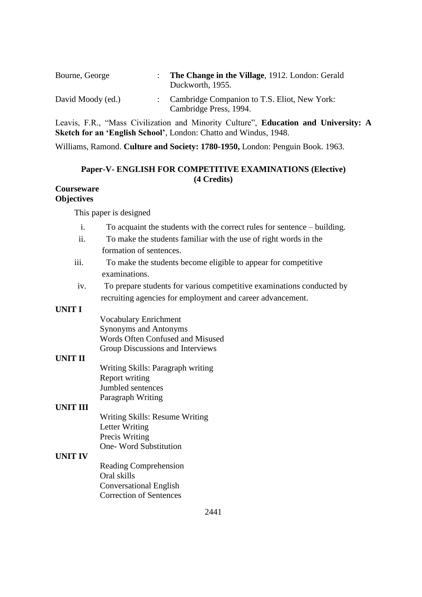| Bourne, George    | The Change in the Village, 1912. London: Gerald<br>Duckworth, 1955.      |
|-------------------|--------------------------------------------------------------------------|
| David Moody (ed.) | : Cambridge Companion to T.S. Eliot, New York:<br>Cambridge Press, 1994. |

Leavis, F.R., "Mass Civilization and Minority Culture", **Education and University: A Sketch for an 'English School'**, London: Chatto and Windus, 1948.

Williams, Ramond. **Culture and Society: 1780-1950,** London: Penguin Book. 1963.

### **Paper-V- ENGLISH FOR COMPETITIVE EXAMINATIONS (Elective) (4 Credits)**

#### **Courseware Objectives**

This paper is designed

- i. To acquaint the students with the correct rules for sentence building.
- ii. To make the students familiar with the use of right words in the formation of sentences.
- iii. To make the students become eligible to appear for competitive examinations.
- iv. To prepare students for various competitive examinations conducted by recruiting agencies for employment and career advancement.

### **UNIT I**

Vocabulary Enrichment Synonyms and Antonyms Words Often Confused and Misused Group Discussions and Interviews

### **UNIT II**

Writing Skills: Paragraph writing Report writing Jumbled sentences Paragraph Writing

### **UNIT III**

Writing Skills: Resume Writing Letter Writing Precis Writing One- Word Substitution

### **UNIT IV**

Reading Comprehension Oral skills Conversational English Correction of Sentences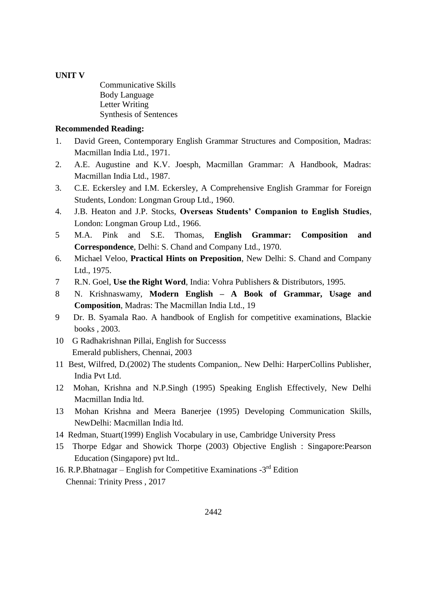### **UNIT V**

Communicative Skills Body Language Letter Writing Synthesis of Sentences

### **Recommended Reading:**

- 1. David Green, Contemporary English Grammar Structures and Composition, Madras: Macmillan India Ltd., 1971.
- 2. A.E. Augustine and K.V. Joesph, Macmillan Grammar: A Handbook, Madras: Macmillan India Ltd., 1987.
- 3. C.E. Eckersley and I.M. Eckersley, A Comprehensive English Grammar for Foreign Students, London: Longman Group Ltd., 1960.
- 4. J.B. Heaton and J.P. Stocks, **Overseas Students' Companion to English Studies**, London: Longman Group Ltd., 1966.
- 5 M.A. Pink and S.E. Thomas, **English Grammar: Composition and Correspondence**, Delhi: S. Chand and Company Ltd., 1970.
- 6. Michael Veloo, **Practical Hints on Preposition**, New Delhi: S. Chand and Company Ltd., 1975.
- 7 R.N. Goel, **Use the Right Word**, India: Vohra Publishers & Distributors, 1995.
- 8 N. Krishnaswamy, **Modern English – A Book of Grammar, Usage and Composition**, Madras: The Macmillan India Ltd., 19
- 9 Dr. B. Syamala Rao. A handbook of English for competitive examinations, Blackie books , 2003.
- 10 G Radhakrishnan Pillai, English for Successs Emerald publishers, Chennai, 2003
- 11 Best, Wilfred, D.(2002) The students Companion,. New Delhi: HarperCollins Publisher, India Pvt Ltd.
- 12 Mohan, Krishna and N.P.Singh (1995) Speaking English Effectively, New Delhi Macmillan India ltd.
- 13 Mohan Krishna and Meera Banerjee (1995) Developing Communication Skills, NewDelhi: Macmillan India ltd.
- 14 Redman, Stuart(1999) English Vocabulary in use, Cambridge University Press
- 15 Thorpe Edgar and Showick Thorpe (2003) Objective English : Singapore:Pearson Education (Singapore) pvt ltd..
- 16. R.P.Bhatnagar English for Competitive Examinations  $-3<sup>rd</sup>$  Edition Chennai: Trinity Press , 2017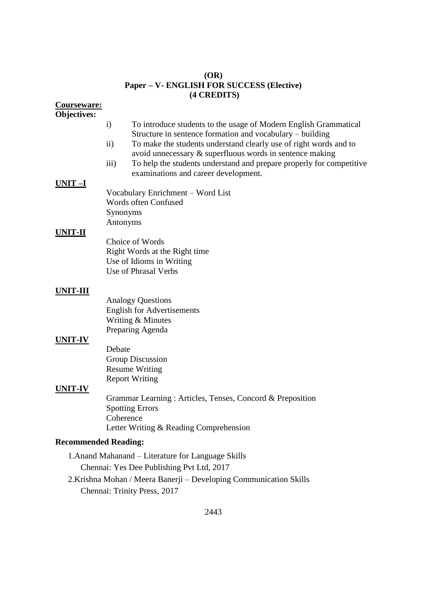### **(OR) Paper – V- ENGLISH FOR SUCCESS (Elective) (4 CREDITS)**

**Courseware: Objectives:**

- i) To introduce students to the usage of Modern English Grammatical Structure in sentence formation and vocabulary – building
- ii) To make the students understand clearly use of right words and to avoid unnecessary & superfluous words in sentence making
- iii) To help the students understand and prepare properly for competitive examinations and career development.

### **UNIT –I**

Vocabulary Enrichment – Word List Words often Confused Synonyms Antonyms

### **UNIT-II**

Choice of Words Right Words at the Right time Use of Idioms in Writing Use of Phrasal Verbs

# **UNIT-III**

| <b>Analogy Questions</b>          |
|-----------------------------------|
| <b>English for Advertisements</b> |
| Writing & Minutes                 |
| Preparing Agenda                  |

### **UNIT-IV**

Debate Group Discussion Resume Writing Report Writing

# **UNIT-IV**

Grammar Learning : Articles, Tenses, Concord & Preposition Spotting Errors **Coherence** Letter Writing & Reading Comprehension

# **Recommended Reading:**

- 1.Anand Mahanand Literature for Language Skills Chennai: Yes Dee Publishing Pvt Ltd, 2017 2.Krishna Mohan / Meera Banerji – Developing Communication Skills
	- Chennai: Trinity Press, 2017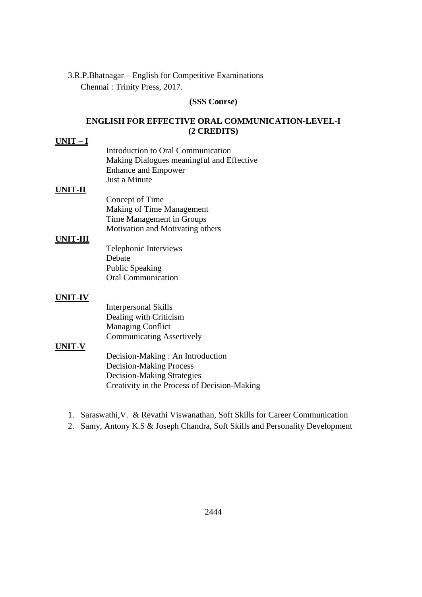3.R.P.Bhatnagar – English for Competitive Examinations Chennai : Trinity Press, 2017.

#### **(SSS Course)**

### **ENGLISH FOR EFFECTIVE ORAL COMMUNICATION-LEVEL-I (2 CREDITS)**

#### **UNIT – I**

Introduction to Oral Communication Making Dialogues meaningful and Effective Enhance and Empower Just a Minute

#### **UNIT-II**

Concept of Time Making of Time Management Time Management in Groups Motivation and Motivating others

### **UNIT-III**

Telephonic Interviews Debate Public Speaking Oral Communication

#### **UNIT-IV**

Interpersonal Skills Dealing with Criticism Managing Conflict Communicating Assertively

#### **UNIT-V**

Decision-Making : An Introduction Decision-Making Process Decision-Making Strategies Creativity in the Process of Decision-Making

- 1. Saraswathi,V. & Revathi Viswanathan, Soft Skills for Career Communication
- 2. Samy, Antony K.S & Joseph Chandra, Soft Skills and Personality Development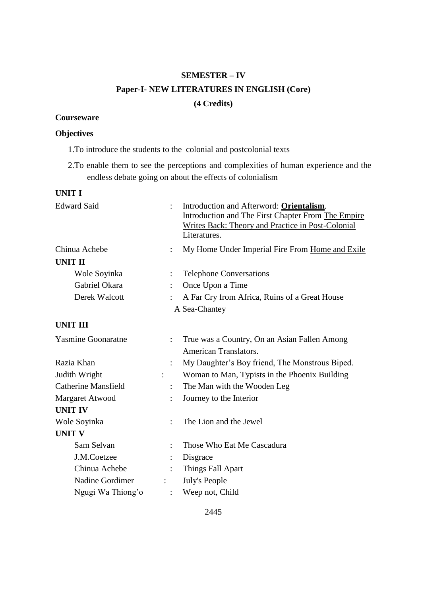# **SEMESTER – IV Paper-I- NEW LITERATURES IN ENGLISH (Core) (4 Credits)**

# **Courseware**

### **Objectives**

1.To introduce the students to the colonial and postcolonial texts

2.To enable them to see the perceptions and complexities of human experience and the endless debate going on about the effects of colonialism

# **UNIT I**

| <b>Edward Said</b>                                                 | $\ddot{\cdot}$            | Introduction and Afterword: Orientalism.<br>Introduction and The First Chapter From The Empire<br><b>Writes Back: Theory and Practice in Post-Colonial</b><br>Literatures. |
|--------------------------------------------------------------------|---------------------------|----------------------------------------------------------------------------------------------------------------------------------------------------------------------------|
| Chinua Achebe                                                      | $\ddot{\cdot}$            | My Home Under Imperial Fire From Home and Exile                                                                                                                            |
| <b>UNIT II</b>                                                     |                           |                                                                                                                                                                            |
| Wole Soyinka                                                       | $\ddot{\cdot}$            | <b>Telephone Conversations</b>                                                                                                                                             |
| Gabriel Okara                                                      | $\ddot{\cdot}$            | Once Upon a Time                                                                                                                                                           |
| Derek Walcott                                                      |                           | A Far Cry from Africa, Ruins of a Great House                                                                                                                              |
|                                                                    |                           | A Sea-Chantey                                                                                                                                                              |
| <b>UNIT III</b>                                                    |                           |                                                                                                                                                                            |
| <b>Yasmine Goonaratne</b>                                          | $\ddot{\cdot}$            | True was a Country, On an Asian Fallen Among<br><b>American Translators.</b>                                                                                               |
| Razia Khan                                                         | $\ddot{\phantom{0}}$      | My Daughter's Boy friend, The Monstrous Biped.                                                                                                                             |
| Judith Wright                                                      |                           | Woman to Man, Typists in the Phoenix Building                                                                                                                              |
| Catherine Mansfield                                                | $\ddot{\cdot}$            | The Man with the Wooden Leg                                                                                                                                                |
| Margaret Atwood<br>Journey to the Interior<br>$\ddot{\phantom{0}}$ |                           |                                                                                                                                                                            |
| <b>UNIT IV</b>                                                     |                           |                                                                                                                                                                            |
| Wole Soyinka                                                       | $\ddot{\cdot}$            | The Lion and the Jewel                                                                                                                                                     |
| <b>UNIT V</b>                                                      |                           |                                                                                                                                                                            |
| Sam Selvan                                                         | $\ddot{\cdot}$            | Those Who Eat Me Cascadura                                                                                                                                                 |
| J.M.Coetzee                                                        |                           | Disgrace                                                                                                                                                                   |
| Chinua Achebe                                                      |                           | Things Fall Apart                                                                                                                                                          |
| Nadine Gordimer                                                    | $\mathbb{R}^{\mathbb{Z}}$ | July's People                                                                                                                                                              |
|                                                                    |                           |                                                                                                                                                                            |

Ngugi Wa Thiong'o : Weep not, Child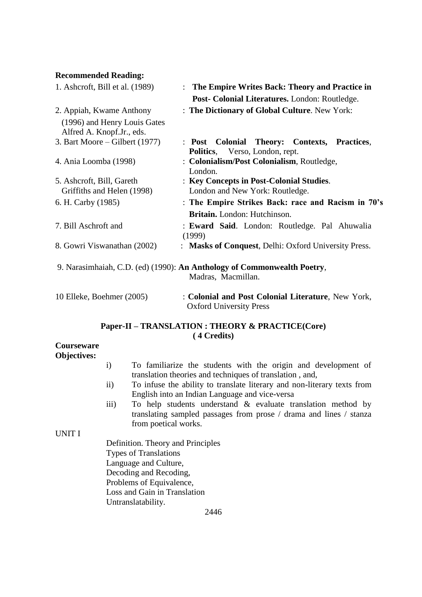#### **Recommended Reading:**

| 1. Ashcroft, Bill et al. (1989) | : The Empire Writes Back: Theory and Practice in                                              |  |  |  |  |
|---------------------------------|-----------------------------------------------------------------------------------------------|--|--|--|--|
|                                 | Post- Colonial Literatures. London: Routledge.                                                |  |  |  |  |
| 2. Appiah, Kwame Anthony        | : The Dictionary of Global Culture. New York:                                                 |  |  |  |  |
| (1996) and Henry Louis Gates    |                                                                                               |  |  |  |  |
| Alfred A. Knopf.Jr., eds.       |                                                                                               |  |  |  |  |
| 3. Bart Moore – Gilbert (1977)  | : Post Colonial Theory: Contexts, Practices,<br><b>Politics</b> , Verso, London, rept.        |  |  |  |  |
| 4. Ania Loomba (1998)           | : Colonialism/Post Colonialism, Routledge,<br>London.                                         |  |  |  |  |
| 5. Ashcroft, Bill, Gareth       | : Key Concepts in Post-Colonial Studies.                                                      |  |  |  |  |
| Griffiths and Helen (1998)      | London and New York: Routledge.                                                               |  |  |  |  |
| 6. H. Carby (1985)              | : The Empire Strikes Back: race and Racism in 70's                                            |  |  |  |  |
|                                 | Britain. London: Hutchinson.                                                                  |  |  |  |  |
| 7. Bill Aschroft and            | : Eward Said. London: Routledge. Pal Ahuwalia<br>(1999)                                       |  |  |  |  |
| 8. Gowri Viswanathan (2002)     | : Masks of Conquest, Delhi: Oxford University Press.                                          |  |  |  |  |
|                                 | 9. Narasimhaiah, C.D. (ed) (1990): An Anthology of Commonwealth Poetry,<br>Madras, Macmillan. |  |  |  |  |
| 10 Elleke, Boehmer (2005)       | : Colonial and Post Colonial Literature, New York,<br><b>Oxford University Press</b>          |  |  |  |  |

### **Paper-II – TRANSLATION : THEORY & PRACTICE(Core) ( 4 Credits)**

### **Courseware Objectives:**

- i) To familiarize the students with the origin and development of translation theories and techniques of translation , and,
- ii) To infuse the ability to translate literary and non-literary texts from English into an Indian Language and vice-versa
- iii) To help students understand & evaluate translation method by translating sampled passages from prose / drama and lines / stanza from poetical works.

### UNIT I

Definition. Theory and Principles Types of Translations Language and Culture, Decoding and Recoding, Problems of Equivalence, Loss and Gain in Translation Untranslatability.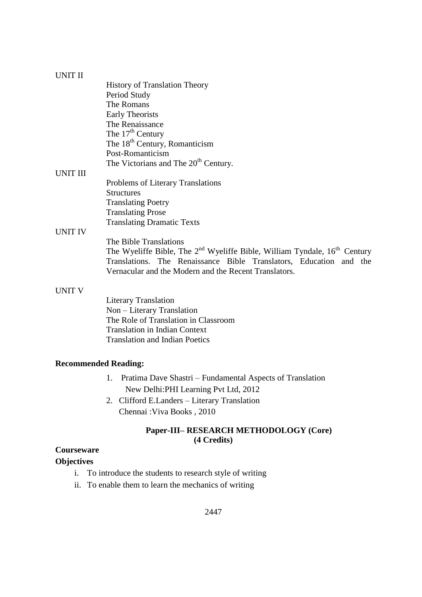### UNIT II

|                 | <b>History of Translation Theory</b>                                          |
|-----------------|-------------------------------------------------------------------------------|
|                 | Period Study                                                                  |
|                 | The Romans                                                                    |
|                 | <b>Early Theorists</b>                                                        |
|                 | The Renaissance                                                               |
|                 | The $17th$ Century                                                            |
|                 | The 18 <sup>th</sup> Century, Romanticism                                     |
|                 | Post-Romanticism                                                              |
|                 | The Victorians and The 20 <sup>th</sup> Century.                              |
| <b>UNIT III</b> |                                                                               |
|                 | Problems of Literary Translations                                             |
|                 | <b>Structures</b>                                                             |
|                 | <b>Translating Poetry</b>                                                     |
|                 | <b>Translating Prose</b>                                                      |
|                 | <b>Translating Dramatic Texts</b>                                             |
| <b>UNIT IV</b>  |                                                                               |
|                 | The Bible Translations                                                        |
|                 | The Wyeliffe Bible, The $2nd$ Wyeliffe Bible, William Tyndale, $16th$ Century |
|                 | Translations. The Renaissance Bible Translators, Education and the            |
|                 | Vernacular and the Modern and the Recent Translators.                         |
|                 |                                                                               |

### UNIT V

Literary Translation Non – Literary Translation The Role of Translation in Classroom Translation in Indian Context Translation and Indian Poetics

### **Recommended Reading:**

- 1. Pratima Dave Shastri Fundamental Aspects of Translation New Delhi:PHI Learning Pvt Ltd, 2012
- 2. Clifford E.Landers Literary Translation Chennai :Viva Books , 2010

### **Paper-III– RESEARCH METHODOLOGY (Core) (4 Credits)**

### **Courseware**

### **Objectives**

- i. To introduce the students to research style of writing
- ii. To enable them to learn the mechanics of writing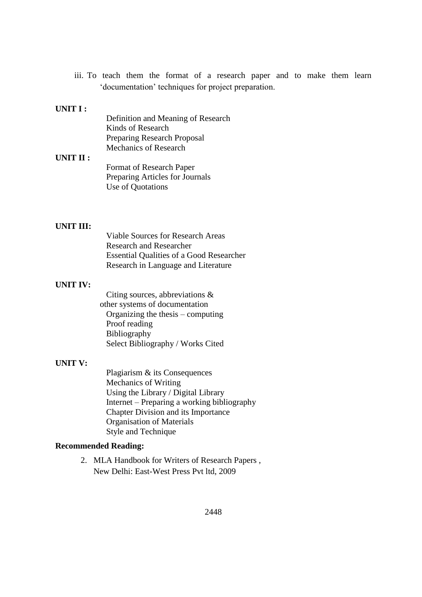iii. To teach them the format of a research paper and to make them learn "documentation" techniques for project preparation.

### **UNIT I :**

Definition and Meaning of Research Kinds of Research Preparing Research Proposal Mechanics of Research

### **UNIT II :**

Format of Research Paper Preparing Articles for Journals Use of Quotations

### **UNIT III:**

Viable Sources for Research Areas Research and Researcher Essential Qualities of a Good Researcher Research in Language and Literature

#### **UNIT IV:**

Citing sources, abbreviations & other systems of documentation Organizing the thesis – computing Proof reading Bibliography Select Bibliography / Works Cited

### **UNIT V:**

Plagiarism & its Consequences Mechanics of Writing Using the Library / Digital Library Internet – Preparing a working bibliography Chapter Division and its Importance Organisation of Materials Style and Technique

#### **Recommended Reading:**

2. MLA Handbook for Writers of Research Papers , New Delhi: East-West Press Pvt ltd, 2009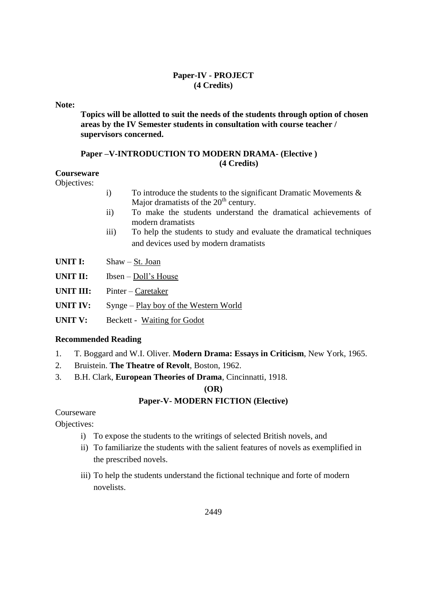# **Paper-IV - PROJECT (4 Credits)**

### **Note:**

**Topics will be allotted to suit the needs of the students through option of chosen areas by the IV Semester students in consultation with course teacher / supervisors concerned.**

### **Paper –V-INTRODUCTION TO MODERN DRAMA- (Elective ) (4 Credits)**

### **Courseware**

Objectives:

- i) To introduce the students to the significant Dramatic Movements & Major dramatists of the  $20<sup>th</sup>$  century.
- ii) To make the students understand the dramatical achievements of modern dramatists
- iii) To help the students to study and evaluate the dramatical techniques and devices used by modern dramatists
- **UNIT I:** Shaw St. Joan
- **UNIT II:** Ibsen Doll's House

**UNIT III:** Pinter – Caretaker

UNIT IV: Synge – Play boy of the Western World

**UNIT V:** Beckett - Waiting for Godot

### **Recommended Reading**

- 1. T. Boggard and W.I. Oliver. **Modern Drama: Essays in Criticism**, New York, 1965.
- 2. Bruistein. **The Theatre of Revolt**, Boston, 1962.
- 3. B.H. Clark, **European Theories of Drama**, Cincinnatti, 1918.

### **(OR)**

### **Paper-V- MODERN FICTION (Elective)**

### Courseware

Objectives:

- i) To expose the students to the writings of selected British novels, and
- ii) To familiarize the students with the salient features of novels as exemplified in the prescribed novels.
- iii) To help the students understand the fictional technique and forte of modern novelists.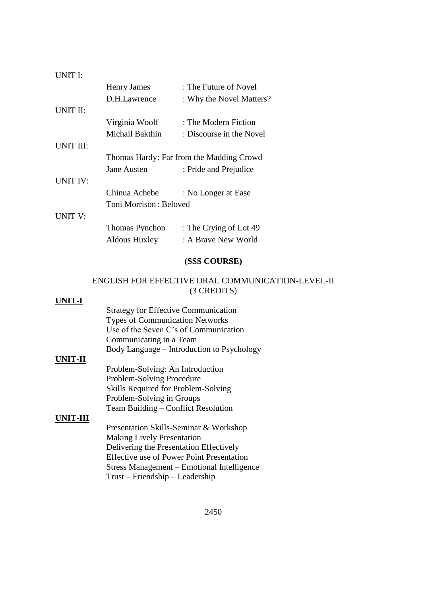| UNIT E          |                                          |                          |  |
|-----------------|------------------------------------------|--------------------------|--|
|                 | <b>Henry James</b>                       | : The Future of Novel    |  |
|                 | D.H.Lawrence                             | : Why the Novel Matters? |  |
| UNIT II:        |                                          |                          |  |
|                 | Virginia Woolf                           | : The Modern Fiction     |  |
|                 | Michail Bakthin                          | : Discourse in the Novel |  |
| UNIT III:       |                                          |                          |  |
|                 | Thomas Hardy: Far from the Madding Crowd |                          |  |
|                 | <b>Jane Austen</b>                       | : Pride and Prejudice    |  |
| <b>UNIT IV:</b> |                                          |                          |  |
|                 | Chinua Achebe                            | : No Longer at Ease      |  |
|                 | Toni Morrison : Beloved                  |                          |  |
| <b>UNIT V:</b>  |                                          |                          |  |
|                 | Thomas Pynchon                           | : The Crying of Lot 49   |  |

### **(SSS COURSE)**

### ENGLISH FOR EFFECTIVE ORAL COMMUNICATION-LEVEL-II (3 CREDITS)

#### **UNIT-I**

 $\mathbf{U}$  is  $\mathbf{U}$ 

Strategy for Effective Communication Types of Communication Networks Use of the Seven C"s of Communication Communicating in a Team Body Language – Introduction to Psychology

Aldous Huxley : A Brave New World

#### **UNIT-II**

Problem-Solving: An Introduction Problem-Solving Procedure Skills Required for Problem-Solving Problem-Solving in Groups Team Building – Conflict Resolution

#### **UNIT-III**

Presentation Skills-Seminar & Workshop Making Lively Presentation Delivering the Presentation Effectively Effective use of Power Point Presentation Stress Management – Emotional Intelligence Trust – Friendship – Leadership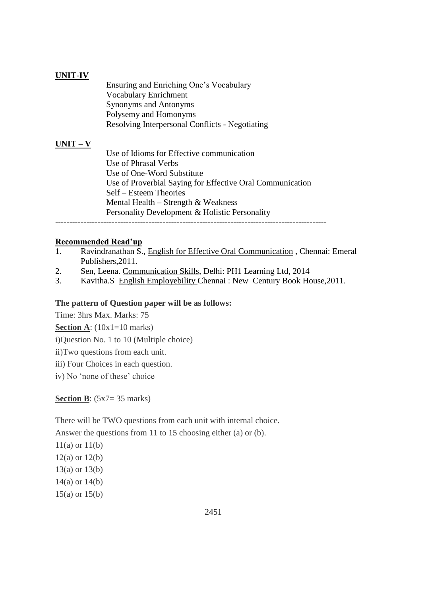### **UNIT-IV**

Ensuring and Enriching One"s Vocabulary Vocabulary Enrichment Synonyms and Antonyms Polysemy and Homonyms Resolving Interpersonal Conflicts - Negotiating

## **UNIT – V**

Use of Idioms for Effective communication Use of Phrasal Verbs Use of One-Word Substitute Use of Proverbial Saying for Effective Oral Communication Self – Esteem Theories Mental Health – Strength & Weakness Personality Development & Holistic Personality ------------------------------------------------------------------------------------------------

### **Recommended Read'up**

- 1. Ravindranathan S., English for Effective Oral Communication , Chennai: Emeral Publishers,2011.
- 2. Sen, Leena. Communication Skills, Delhi: PH1 Learning Ltd, 2014
- 3. Kavitha.S English Employebility Chennai : New Century Book House,2011.

#### **The pattern of Question paper will be as follows:**

Time: 3hrs Max. Marks: 75

**Section A**: (10x1=10 marks)

i)Question No. 1 to 10 (Multiple choice)

ii)Two questions from each unit.

iii) Four Choices in each question.

iv) No "none of these" choice

### **Section B**: (5x7= 35 marks)

There will be TWO questions from each unit with internal choice.

Answer the questions from 11 to 15 choosing either (a) or (b).

11(a) or 11(b) 12(a) or 12(b) 13(a) or 13(b) 14(a) or 14(b) 15(a) or 15(b)